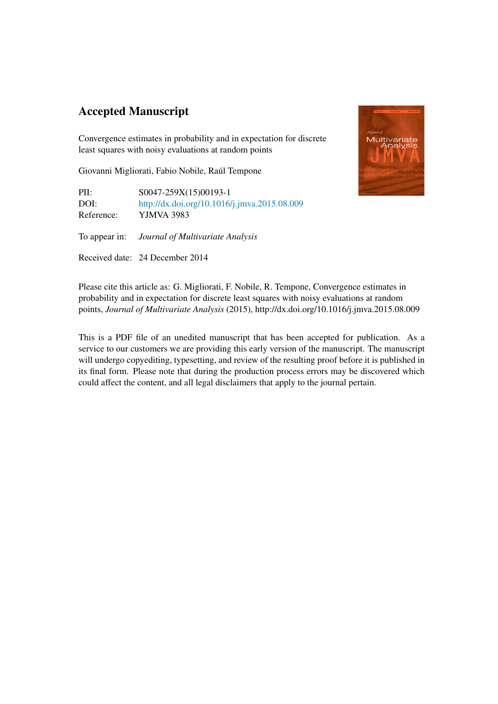# Accepted Manuscript

Convergence estimates in probability and in expectation for discrete least squares with noisy evaluations at random points

Giovanni Migliorati, Fabio Nobile, Raúl Tempone

PII: S0047-259X(15)00193-1 DOI: <http://dx.doi.org/10.1016/j.jmva.2015.08.009> Reference: YJMVA 3983

To appear in: *Journal of Multivariate Analysis*

Received date: 24 December 2014



Please cite this article as: G. Migliorati, F. Nobile, R. Tempone, Convergence estimates in probability and in expectation for discrete least squares with noisy evaluations at random points, *Journal of Multivariate Analysis* (2015), http://dx.doi.org/10.1016/j.jmva.2015.08.009

This is a PDF file of an unedited manuscript that has been accepted for publication. As a service to our customers we are providing this early version of the manuscript. The manuscript will undergo copyediting, typesetting, and review of the resulting proof before it is published in its final form. Please note that during the production process errors may be discovered which could affect the content, and all legal disclaimers that apply to the journal pertain.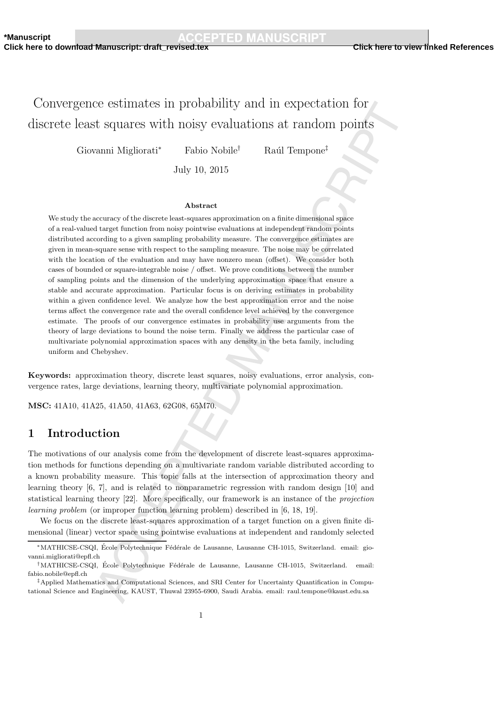**Click here to download Manuscript: draft\_revised.tex Click here to view linked References**

# Convergence estimates in probability and in expectation for discrete least squares with noisy evaluations at random points

Giovanni Migliorati<sup>∗</sup> Fabio Nobile† Ra´ul Tempone‡

July 10, 2015

### Abstract

We study the accuracy of the discrete least-squares approximation on a finite dimensional space of a real-valued target function from noisy pointwise evaluations at independent random points distributed according to a given sampling probability measure. The convergence estimates are given in mean-square sense with respect to the sampling measure. The noise may be correlated with the location of the evaluation and may have nonzero mean (offset). We consider both cases of bounded or square-integrable noise / offset. We prove conditions between the number of sampling points and the dimension of the underlying approximation space that ensure a stable and accurate approximation. Particular focus is on deriving estimates in probability within a given confidence level. We analyze how the best approximation error and the noise terms affect the convergence rate and the overall confidence level achieved by the convergence estimate. The proofs of our convergence estimates in probability use arguments from the theory of large deviations to bound the noise term. Finally we address the particular case of multivariate polynomial approximation spaces with any density in the beta family, including uniform and Chebyshev.

Keywords: approximation theory, discrete least squares, noisy evaluations, error analysis, convergence rates, large deviations, learning theory, multivariate polynomial approximation.

MSC: 41A10, 41A25, 41A50, 41A63, 62G08, 65M70.

### 1 Introduction

The motivations of our analysis come from the development of discrete least-squares approximation methods for functions depending on a multivariate random variable distributed according to a known probability measure. This topic falls at the intersection of approximation theory and learning theory [6, 7], and is related to nonparametric regression with random design [10] and statistical learning theory [22]. More specifically, our framework is an instance of the projection learning problem (or improper function learning problem) described in [6, 18, 19].

We focus on the discrete least-squares approximation of a target function on a given finite dimensional (linear) vector space using pointwise evaluations at independent and randomly selected

<sup>\*</sup>MATHICSE-CSQI, École Polytechnique Fédérale de Lausanne, Lausanne CH-1015, Switzerland. email: giovanni.migliorati@epfl.ch

<sup>&</sup>lt;sup>†</sup>MATHICSE-CSQI, École Polytechnique Fédérale de Lausanne, Lausanne CH-1015, Switzerland. email: fabio.nobile@epfl.ch

<sup>‡</sup>Applied Mathematics and Computational Sciences, and SRI Center for Uncertainty Quantification in Computational Science and Engineering, KAUST, Thuwal 23955-6900, Saudi Arabia. email: raul.tempone@kaust.edu.sa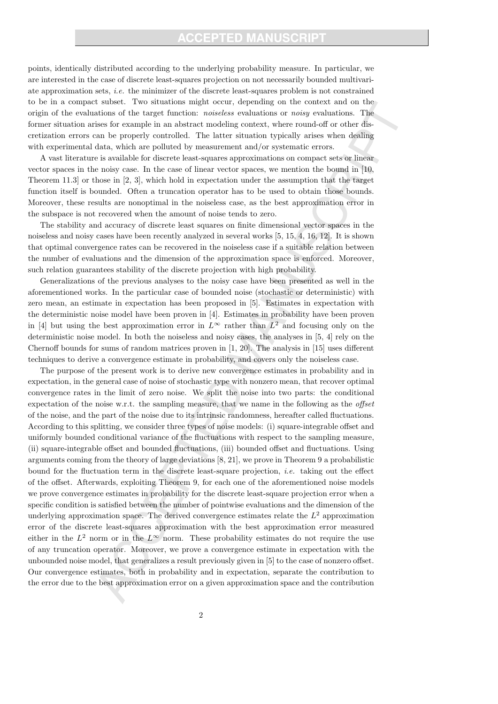## **CCEPTED MANUSCR**

points, identically distributed according to the underlying probability measure. In particular, we are interested in the case of discrete least-squares projection on not necessarily bounded multivariate approximation sets, i.e. the minimizer of the discrete least-squares problem is not constrained to be in a compact subset. Two situations might occur, depending on the context and on the origin of the evaluations of the target function: noiseless evaluations or noisy evaluations. The former situation arises for example in an abstract modeling context, where round-off or other discretization errors can be properly controlled. The latter situation typically arises when dealing with experimental data, which are polluted by measurement and/or systematic errors.

A vast literature is available for discrete least-squares approximations on compact sets or linear vector spaces in the noisy case. In the case of linear vector spaces, we mention the bound in [10, Theorem 11.3] or those in [2, 3], which hold in expectation under the assumption that the target function itself is bounded. Often a truncation operator has to be used to obtain those bounds. Moreover, these results are nonoptimal in the noiseless case, as the best approximation error in the subspace is not recovered when the amount of noise tends to zero.

The stability and accuracy of discrete least squares on finite dimensional vector spaces in the noiseless and noisy cases have been recently analyzed in several works [5, 15, 4, 16, 12]. It is shown that optimal convergence rates can be recovered in the noiseless case if a suitable relation between the number of evaluations and the dimension of the approximation space is enforced. Moreover, such relation guarantees stability of the discrete projection with high probability.

Generalizations of the previous analyses to the noisy case have been presented as well in the aforementioned works. In the particular case of bounded noise (stochastic or deterministic) with zero mean, an estimate in expectation has been proposed in [5]. Estimates in expectation with the deterministic noise model have been proven in [4]. Estimates in probability have been proven in [4] but using the best approximation error in  $L^{\infty}$  rather than  $L^2$  and focusing only on the deterministic noise model. In both the noiseless and noisy cases, the analyses in [5, 4] rely on the Chernoff bounds for sums of random matrices proven in [1, 20]. The analysis in [15] uses different techniques to derive a convergence estimate in probability, and covers only the noiseless case.

The purpose of the present work is to derive new convergence estimates in probability and in expectation, in the general case of noise of stochastic type with nonzero mean, that recover optimal convergence rates in the limit of zero noise. We split the noise into two parts: the conditional expectation of the noise w.r.t. the sampling measure, that we name in the following as the *offset* of the noise, and the part of the noise due to its intrinsic randomness, hereafter called fluctuations. According to this splitting, we consider three types of noise models: (i) square-integrable offset and uniformly bounded conditional variance of the fluctuations with respect to the sampling measure, (ii) square-integrable offset and bounded fluctuations, (iii) bounded offset and fluctuations. Using arguments coming from the theory of large deviations [8, 21], we prove in Theorem 9 a probabilistic bound for the fluctuation term in the discrete least-square projection, i.e. taking out the effect of the offset. Afterwards, exploiting Theorem 9, for each one of the aforementioned noise models we prove convergence estimates in probability for the discrete least-square projection error when a specific condition is satisfied between the number of pointwise evaluations and the dimension of the underlying approximation space. The derived convergence estimates relate the  $L^2$  approximation error of the discrete least-squares approximation with the best approximation error measured either in the  $L^2$  norm or in the  $L^{\infty}$  norm. These probability estimates do not require the use of any truncation operator. Moreover, we prove a convergence estimate in expectation with the unbounded noise model, that generalizes a result previously given in [5] to the case of nonzero offset. Our convergence estimates, both in probability and in expectation, separate the contribution to the error due to the best approximation error on a given approximation space and the contribution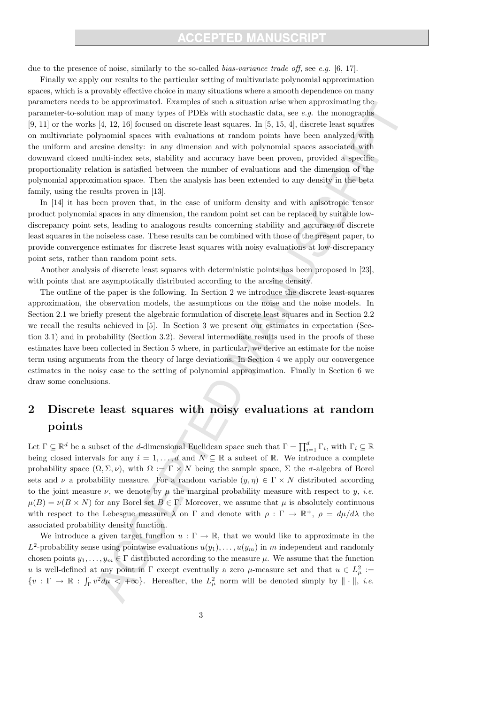### **CCEPTED MANUSCR**

due to the presence of noise, similarly to the so-called *bias-variance trade off*, see e.g. [6, 17].

Finally we apply our results to the particular setting of multivariate polynomial approximation spaces, which is a provably effective choice in many situations where a smooth dependence on many parameters needs to be approximated. Examples of such a situation arise when approximating the parameter-to-solution map of many types of PDEs with stochastic data, see e.g. the monographs [9, 11] or the works [4, 12, 16] focused on discrete least squares. In [5, 15, 4], discrete least squares on multivariate polynomial spaces with evaluations at random points have been analyzed with the uniform and arcsine density: in any dimension and with polynomial spaces associated with downward closed multi-index sets, stability and accuracy have been proven, provided a specific proportionality relation is satisfied between the number of evaluations and the dimension of the polynomial approximation space. Then the analysis has been extended to any density in the beta family, using the results proven in [13].

In [14] it has been proven that, in the case of uniform density and with anisotropic tensor product polynomial spaces in any dimension, the random point set can be replaced by suitable lowdiscrepancy point sets, leading to analogous results concerning stability and accuracy of discrete least squares in the noiseless case. These results can be combined with those of the present paper, to provide convergence estimates for discrete least squares with noisy evaluations at low-discrepancy point sets, rather than random point sets.

Another analysis of discrete least squares with deterministic points has been proposed in [23], with points that are asymptotically distributed according to the arcsine density.

The outline of the paper is the following. In Section 2 we introduce the discrete least-squares approximation, the observation models, the assumptions on the noise and the noise models. In Section 2.1 we briefly present the algebraic formulation of discrete least squares and in Section 2.2 we recall the results achieved in [5]. In Section 3 we present our estimates in expectation (Section 3.1) and in probability (Section 3.2). Several intermediate results used in the proofs of these estimates have been collected in Section 5 where, in particular, we derive an estimate for the noise term using arguments from the theory of large deviations. In Section 4 we apply our convergence estimates in the noisy case to the setting of polynomial approximation. Finally in Section 6 we draw some conclusions.

# 2 Discrete least squares with noisy evaluations at random points

Let  $\Gamma \subseteq \mathbb{R}^d$  be a subset of the *d*-dimensional Euclidean space such that  $\Gamma = \prod_{i=1}^d \Gamma_i$ , with  $\Gamma_i \subseteq \mathbb{R}$ being closed intervals for any  $i = 1, ..., d$  and  $N \subseteq \mathbb{R}$  a subset of  $\mathbb{R}$ . We introduce a complete probability space  $(\Omega, \Sigma, \nu)$ , with  $\Omega := \Gamma \times N$  being the sample space,  $\Sigma$  the  $\sigma$ -algebra of Borel sets and  $\nu$  a probability measure. For a random variable  $(y, \eta) \in \Gamma \times N$  distributed according to the joint measure  $\nu$ , we denote by  $\mu$  the marginal probability measure with respect to y, *i.e.*  $\mu(B) = \nu(B \times N)$  for any Borel set  $B \in \Gamma$ . Moreover, we assume that  $\mu$  is absolutely continuous with respect to the Lebesgue measure  $\lambda$  on  $\Gamma$  and denote with  $\rho : \Gamma \to \mathbb{R}^+$ ,  $\rho = d\mu/d\lambda$  the associated probability density function.

We introduce a given target function  $u : \Gamma \to \mathbb{R}$ , that we would like to approximate in the  $L^2$ -probability sense using pointwise evaluations  $u(y_1), \ldots, u(y_m)$  in m independent and randomly chosen points  $y_1, \ldots, y_m \in \Gamma$  distributed according to the measure  $\mu$ . We assume that the function u is well-defined at any point in  $\Gamma$  except eventually a zero  $\mu$ -measure set and that  $u \in L^2_{\mu} :=$  $\{v: \Gamma \to \mathbb{R} : \int_{\Gamma} v^2 d\mu \langle +\infty \rangle\}$ . Hereafter, the  $L^2_{\mu}$  norm will be denoted simply by  $\|\cdot\|$ , *i.e.*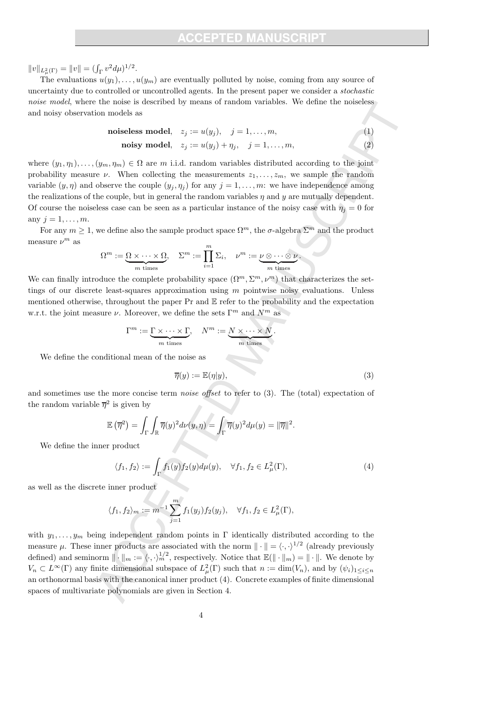$||v||_{L^2_{\mu}(\Gamma)} = ||v|| = (\int_{\Gamma} v^2 d\mu)^{1/2}.$ 

The evaluations  $u(y_1), \ldots, u(y_m)$  are eventually polluted by noise, coming from any source of uncertainty due to controlled or uncontrolled agents. In the present paper we consider a stochastic noise model, where the noise is described by means of random variables. We define the noiseless and noisy observation models as

$$
noiseless model, \quad z_j := u(y_j), \quad j = 1, \dots, m,
$$
\n<sup>(1)</sup>

$$
\textbf{noisy model}, \quad z_j := u(y_j) + \eta_j, \quad j = 1, \dots, m,
$$
\n<sup>(2)</sup>

where  $(y_1, \eta_1), \ldots, (y_m, \eta_m) \in \Omega$  are m i.i.d. random variables distributed according to the joint probability measure  $\nu$ . When collecting the measurements  $z_1, \ldots, z_m$ , we sample the random variable  $(y, \eta)$  and observe the couple  $(y_i, \eta_j)$  for any  $j = 1, \ldots, m$ : we have independence among the realizations of the couple, but in general the random variables  $\eta$  and y are mutually dependent. Of course the noiseless case can be seen as a particular instance of the noisy case with  $\eta_j = 0$  for any  $j = 1, \ldots, m$ .

For any  $m \geq 1$ , we define also the sample product space  $\Omega^m$ , the  $\sigma$ -algebra  $\Sigma^m$  and the product measure  $\nu^m$  as

$$
\Omega^m := \underbrace{\Omega \times \cdots \times \Omega}_{m \text{ times}}, \quad \Sigma^m := \prod_{i=1}^m \Sigma_i, \quad \nu^m := \underbrace{\nu \otimes \cdots \otimes \nu}_{m \text{ times}}.
$$

We can finally introduce the complete probability space  $(\Omega^m, \Sigma^m, \nu^m)$  that characterizes the settings of our discrete least-squares approximation using  $m$  pointwise noisy evaluations. Unless mentioned otherwise, throughout the paper  $Pr$  and  $E$  refer to the probability and the expectation w.r.t. the joint measure  $\nu$ . Moreover, we define the sets  $\Gamma^m$  and  $N^m$  as

$$
\Gamma^m := \underbrace{\Gamma \times \cdots \times \Gamma}_{m \text{ times}}, \quad N^m := \underbrace{N \times \cdots \times N}_{m \text{ times}}.
$$

We define the conditional mean of the noise as

$$
\overline{\eta}(y) := \mathbb{E}(\eta|y),\tag{3}
$$

and sometimes use the more concise term noise offset to refer to (3). The (total) expectation of the random variable  $\overline{\eta}^2$  is given by

$$
\mathbb{E}(\overline{\eta}^2) = \int_{\Gamma} \int_{\mathbb{R}} \overline{\eta}(y)^2 d\nu(y, \eta) = \int_{\Gamma} \overline{\eta}(y)^2 d\mu(y) = ||\overline{\eta}||^2.
$$

We define the inner product

$$
\langle f_1, f_2 \rangle := \int_{\Gamma} f_1(y) f_2(y) d\mu(y), \quad \forall f_1, f_2 \in L^2_{\mu}(\Gamma), \tag{4}
$$

as well as the discrete inner product

$$
\langle f_1, f_2 \rangle_m := m^{-1} \sum_{j=1}^m f_1(y_j) f_2(y_j), \quad \forall f_1, f_2 \in L^2_{\mu}(\Gamma),
$$

with  $y_1, \ldots, y_m$  being independent random points in Γ identically distributed according to the measure  $\mu$ . These inner products are associated with the norm  $\|\cdot\| = \langle \cdot, \cdot \rangle^{1/2}$  (already previously defined) and seminorm  $\|\cdot\|_m := \langle \cdot, \cdot \rangle_m^{1/2}$ , respectively. Notice that  $\mathbb{E}(\|\cdot\|_m) = \|\cdot\|$ . We denote by  $V_n \subset L^{\infty}(\Gamma)$  any finite dimensional subspace of  $L^2_{\mu}(\Gamma)$  such that  $n := \dim(V_n)$ , and by  $(\psi_i)_{1 \leq i \leq n}$ an orthonormal basis with the canonical inner product (4). Concrete examples of finite dimensional spaces of multivariate polynomials are given in Section 4.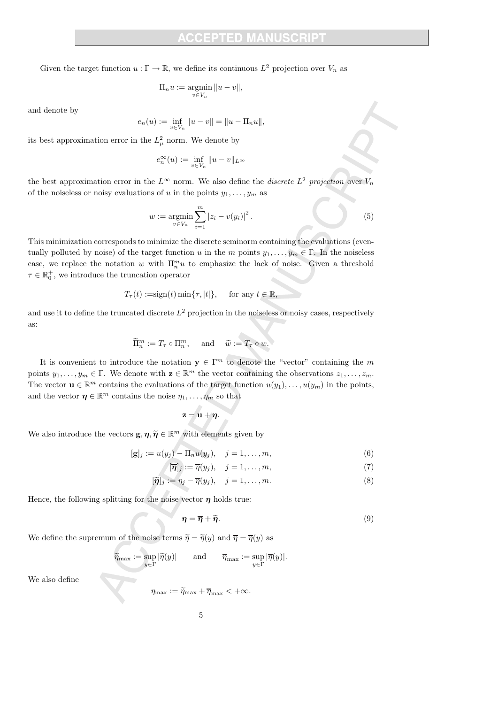Given the target function  $u : \Gamma \to \mathbb{R}$ , we define its continuous  $L^2$  projection over  $V_n$  as

$$
\Pi_n u := \operatornamewithlimits{argmin}_{v \in V_n} \|u - v\|,
$$

and denote by

$$
e_n(u) := \inf_{v \in V_n} ||u - v|| = ||u - \Pi_n u||,
$$

its best approximation error in the  $L^2_\mu$  norm. We denote by

$$
e_n^{\infty}(u) := \inf_{v \in V_n} ||u - v||_{L^{\infty}}
$$

the best approximation error in the  $L^{\infty}$  norm. We also define the *discrete*  $L^2$  projection over  $V_n$ of the noiseless or noisy evaluations of u in the points  $y_1, \ldots, y_m$  as

$$
w := \underset{v \in V_n}{\text{argmin}} \sum_{i=1}^{m} |z_i - v(y_i)|^2.
$$
 (5)

This minimization corresponds to minimize the discrete seminorm containing the evaluations (eventually polluted by noise) of the target function u in the m points  $y_1, \ldots, y_m \in \Gamma$ . In the noiseless case, we replace the notation w with  $\Pi_n^m u$  to emphasize the lack of noise. Given a threshold  $\tau \in \mathbb{R}_0^+$ , we introduce the truncation operator

$$
T_{\tau}(t) := \operatorname{sign}(t) \min\{\tau, |t|\}, \quad \text{ for any } t \in \mathbb{R},
$$

and use it to define the truncated discrete  $L^2$  projection in the noiseless or noisy cases, respectively as:

$$
\widetilde{\Pi}_n^m := T_\tau \circ \Pi_n^m, \quad \text{and} \quad \widetilde{w} := T_\tau \circ w.
$$

It is convenient to introduce the notation  $y \in \Gamma^m$  to denote the "vector" containing the m points  $y_1, \ldots, y_m \in \Gamma$ . We denote with  $\mathbf{z} \in \mathbb{R}^m$  the vector containing the observations  $z_1, \ldots, z_m$ . The vector  $\mathbf{u} \in \mathbb{R}^m$  contains the evaluations of the target function  $u(y_1), \ldots, u(y_m)$  in the points, and the vector  $\boldsymbol{\eta} \in \mathbb{R}^m$  contains the noise  $\eta_1, \ldots, \eta_m$  so that

$$
\mathbf{z} = \mathbf{u} + \boldsymbol{\eta}.
$$

We also introduce the vectors  $\mathbf{g}, \overline{\boldsymbol{\eta}}, \widetilde{\boldsymbol{\eta}} \in \mathbb{R}^m$  with elements given by

$$
[\mathbf{g}]_j := u(y_j) - \Pi_n u(y_j), \quad j = 1, \dots, m,
$$
\n(6)

$$
[\overline{\boldsymbol{\eta}}]_j := \overline{\eta}(y_j), \quad j = 1, \dots, m,
$$
\n<sup>(7)</sup>

$$
[\widetilde{\boldsymbol{\eta}}]_j := \eta_j - \overline{\eta}(y_j), \quad j = 1, \dots, m. \tag{8}
$$

Hence, the following splitting for the noise vector  $\eta$  holds true:

$$
\eta = \overline{\eta} + \widetilde{\eta}.\tag{9}
$$

We define the supremum of the noise terms  $\tilde{\eta} = \tilde{\eta}(y)$  and  $\overline{\eta} = \overline{\eta}(y)$  as

$$
\widetilde{\eta}_{\max} := \sup_{y \in \Gamma} |\widetilde{\eta}(y)| \quad \text{and} \quad \overline{\eta}_{\max} := \sup_{y \in \Gamma} |\overline{\eta}(y)|.
$$

We also define

$$
\eta_{\max} := \widetilde{\eta}_{\max} + \overline{\eta}_{\max} < +\infty.
$$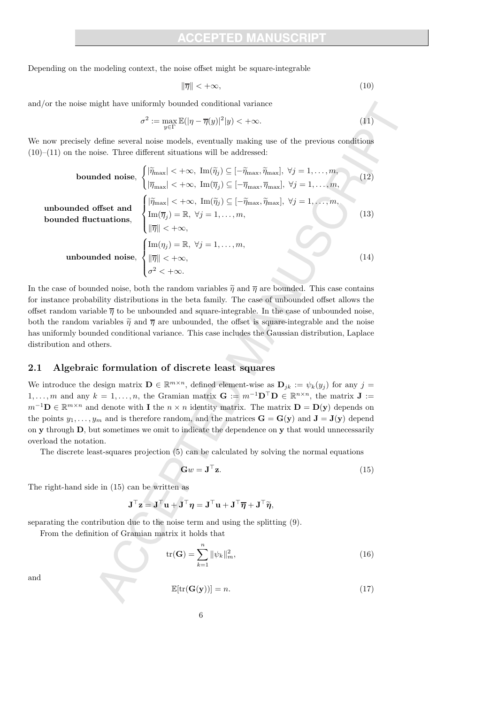Depending on the modeling context, the noise offset might be square-integrable

$$
\|\overline{\eta}\| < +\infty,\tag{10}
$$

and/or the noise might have uniformly bounded conditional variance

$$
\sigma^2 := \max_{y \in \Gamma} \mathbb{E}(|\eta - \overline{\eta}(y)|^2 | y) < +\infty. \tag{11}
$$

We now precisely define several noise models, eventually making use of the previous conditions  $(10)–(11)$  on the noise. Three different situations will be addressed:

bounded noise, 
$$
\begin{cases} |\tilde{\eta}_{\text{max}}| < +\infty, \text{ Im}(\tilde{\eta}_j) \subseteq [-\tilde{\eta}_{\text{max}}, \tilde{\eta}_{\text{max}}], \forall j = 1, ..., m, \\ |\overline{\eta}_{\text{max}}| < +\infty, \text{ Im}(\overline{\eta}_j) \subseteq [-\overline{\eta}_{\text{max}}, \overline{\eta}_{\text{max}}], \forall j = 1, ..., m, \end{cases}
$$
(12)  
unbounded offset and bounded first and bounded functions, 
$$
\begin{cases} |\tilde{\eta}_{\text{max}}| < +\infty, \text{ Im}(\tilde{\eta}_j) \subseteq [-\tilde{\eta}_{\text{max}}, \tilde{\eta}_{\text{max}}], \forall j = 1, ..., m, \\ \text{Im}(\overline{\eta}_j) = \mathbb{R}, \forall j = 1, ..., m, \\ |\overline{\eta}| < +\infty, \\ |\overline{\eta}| < +\infty, \end{cases}
$$
(13)  
unbounded noise, 
$$
\begin{cases} \text{Im}(\eta_j) = \mathbb{R}, \forall j = 1, ..., m, \\ |\overline{\eta}| < +\infty, \\ \sigma^2 < +\infty. \end{cases}
$$
(14)

In the case of bounded noise, both the random variables  $\tilde{\eta}$  and  $\overline{\eta}$  are bounded. This case contains for instance probability distributions in the beta family. The case of unbounded offset allows the offset random variable  $\overline{\eta}$  to be unbounded and square-integrable. In the case of unbounded noise, both the random variables  $\tilde{\eta}$  and  $\overline{\eta}$  are unbounded, the offset is square-integrable and the noise has uniformly bounded conditional variance. This case includes the Gaussian distribution, Laplace distribution and others.

### 2.1 Algebraic formulation of discrete least squares

We introduce the design matrix  $\mathbf{D} \in \mathbb{R}^{m \times n}$ , defined element-wise as  $\mathbf{D}_{jk} := \psi_k(y_j)$  for any  $j =$ 1,..., m and any  $k = 1, ..., n$ , the Gramian matrix  $\mathbf{G} := m^{-1} \mathbf{D}^{\top} \mathbf{D} \in \mathbb{R}^{n \times n}$ , the matrix  $\mathbf{J} :=$  $m^{-1}$ **D** ∈  $\mathbb{R}^{m \times n}$  and denote with **I** the  $n \times n$  identity matrix. The matrix **D** = **D**(**y**) depends on the points  $y_1, \ldots, y_m$  and is therefore random, and the matrices  $\mathbf{G} = \mathbf{G}(\mathbf{y})$  and  $\mathbf{J} = \mathbf{J}(\mathbf{y})$  depend on y through D, but sometimes we omit to indicate the dependence on y that would unnecessarily overload the notation.

The discrete least-squares projection (5) can be calculated by solving the normal equations

$$
\mathbf{G}w = \mathbf{J}^{\top}\mathbf{z}.\tag{15}
$$

The right-hand side in (15) can be written as

$$
\mathbf{J}^\top \mathbf{z} = \mathbf{J}^\top \mathbf{u} + \mathbf{J}^\top \boldsymbol{\eta} = \mathbf{J}^\top \mathbf{u} + \mathbf{J}^\top \overline{\boldsymbol{\eta}} + \mathbf{J}^\top \widetilde{\boldsymbol{\eta}},
$$

separating the contribution due to the noise term and using the splitting (9).

From the definition of Gramian matrix it holds that

$$
\text{tr}(\mathbf{G}) = \sum_{k=1}^{n} \|\psi_k\|_m^2,
$$
\n(16)

and

$$
\mathbb{E}[\text{tr}(\mathbf{G}(\mathbf{y}))] = n. \tag{17}
$$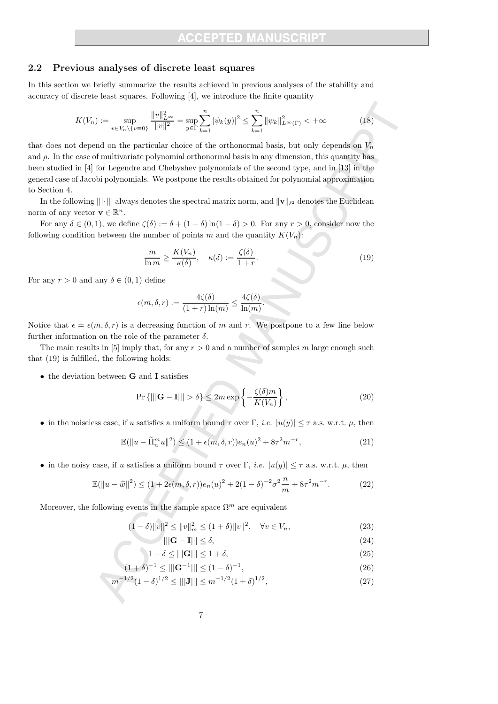### 2.2 Previous analyses of discrete least squares

In this section we briefly summarize the results achieved in previous analyses of the stability and accuracy of discrete least squares. Following [4], we introduce the finite quantity

$$
K(V_n) := \sup_{v \in V_n \setminus \{v = 0\}} \frac{\|v\|_{L^\infty}^2}{\|v\|^2} = \sup_{y \in \Gamma} \sum_{k=1}^n |\psi_k(y)|^2 \le \sum_{k=1}^n \|\psi_k\|_{L^\infty(\Gamma)}^2 < +\infty
$$
 (18)

that does not depend on the particular choice of the orthonormal basis, but only depends on  $V_n$ and  $\rho$ . In the case of multivariate polynomial orthonormal basis in any dimension, this quantity has been studied in [4] for Legendre and Chebyshev polynomials of the second type, and in [13] in the general case of Jacobi polynomials. We postpone the results obtained for polynomial approximation to Section 4.

In the following  $|||\cdot|||$  always denotes the spectral matrix norm, and  $||\mathbf{v}||_{\ell^2}$  denotes the Euclidean norm of any vector  $\mathbf{v} \in \mathbb{R}^n$ .

For any  $\delta \in (0,1)$ , we define  $\zeta(\delta) := \delta + (1-\delta) \ln(1-\delta) > 0$ . For any  $r > 0$ , consider now the following condition between the number of points m and the quantity  $K(V_n)$ :

$$
\frac{m}{\ln m} \ge \frac{K(V_n)}{\kappa(\delta)}, \quad \kappa(\delta) := \frac{\zeta(\delta)}{1+r}.
$$
\n(19)

For any  $r > 0$  and any  $\delta \in (0, 1)$  define

$$
\epsilon(m,\delta,r) := \frac{4\zeta(\delta)}{(1+r)\ln(m)} \le \frac{4\zeta(\delta)}{\ln(m)}.
$$

Notice that  $\epsilon = \epsilon(m, \delta, r)$  is a decreasing function of m and r. We postpone to a few line below further information on the role of the parameter  $\delta$ .

The main results in [5] imply that, for any  $r > 0$  and a number of samples m large enough such that (19) is fulfilled, the following holds:

• the deviation between **G** and **I** satisfies

$$
\Pr\left\{|||\mathbf{G} - \mathbf{I}||| > \delta\right\} \le 2m \exp\left\{-\frac{\zeta(\delta)m}{K(V_n)}\right\},\tag{20}
$$

• in the noiseless case, if u satisfies a uniform bound  $\tau$  over  $\Gamma$ , *i.e.*  $|u(y)| \leq \tau$  a.s. w.r.t.  $\mu$ , then

$$
\mathbb{E}(\|u - \widetilde{\Pi}_n^m u\|^2) \le (1 + \epsilon(m, \delta, r))e_n(u)^2 + 8\tau^2 m^{-r},\tag{21}
$$

• in the noisy case, if u satisfies a uniform bound  $\tau$  over  $\Gamma$ , *i.e.*  $|u(y)| \leq \tau$  a.s. w.r.t.  $\mu$ , then

$$
\mathbb{E}(\|u - \tilde{w}\|^2) \le (1 + 2\epsilon(m, \delta, r))e_n(u)^2 + 2(1 - \delta)^{-2}\sigma^2 \frac{n}{m} + 8\tau^2 m^{-r}.
$$
 (22)

Moreover, the following events in the sample space  $\Omega^m$  are equivalent

$$
(1 - \delta) \|v\|^2 \le \|v\|_m^2 \le (1 + \delta) \|v\|^2, \quad \forall v \in V_n,
$$
\n(23)

$$
\|\mathbf{G} - \mathbf{I}\|\| \le \delta,\tag{24}
$$

$$
1 - \delta \le ||\|\mathbf{G}\|| \le 1 + \delta,\tag{25}
$$

$$
(1+\delta)^{-1} \le |||G^{-1}||| \le (1-\delta)^{-1},\tag{26}
$$

$$
m^{-1/2}(1-\delta)^{1/2} \le |||J||| \le m^{-1/2}(1+\delta)^{1/2},\tag{27}
$$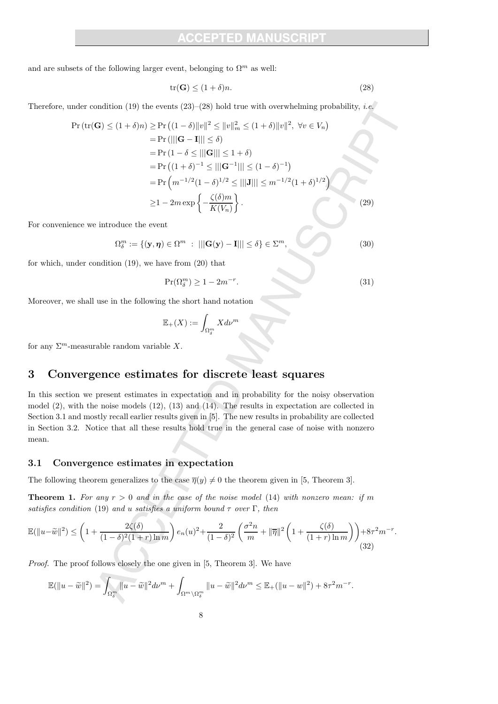and are subsets of the following larger event, belonging to  $\Omega^m$  as well:

$$
\operatorname{tr}(\mathbf{G}) \le (1+\delta)n. \tag{28}
$$

Therefore, under condition (19) the events  $(23)–(28)$  hold true with overwhelming probability, *i.e.* 

$$
\Pr\left(\text{tr}(\mathbf{G}) \le (1+\delta)n\right) \ge \Pr\left((1-\delta)\|v\|^2 \le \|v\|_m^2 \le (1+\delta)\|v\|^2, \ \forall v \in V_n\right)
$$
\n
$$
= \Pr\left(\left|\left|\mathbf{G} - \mathbf{I}\right|\right| \le \delta\right)
$$
\n
$$
= \Pr\left(1-\delta \le \|\left|\mathbf{G}\right|\| \le 1+\delta\right)
$$
\n
$$
= \Pr\left((1+\delta)^{-1} \le \|\left|\mathbf{G}^{-1}\right|\| \le (1-\delta)^{-1}\right)
$$
\n
$$
= \Pr\left(m^{-1/2}(1-\delta)^{1/2} \le \|\left|\mathbf{J}\right|\| \le m^{-1/2}(1+\delta)^{1/2}\right)
$$
\n
$$
\ge 1 - 2m \exp\left\{-\frac{\zeta(\delta)m}{K(V_n)}\right\}.
$$
\n(29)

For convenience we introduce the event

$$
\Omega_{\delta}^{m} := \{ (\mathbf{y}, \boldsymbol{\eta}) \in \Omega^{m} : ||| \mathbf{G}(\mathbf{y}) - \mathbf{I} ||| \leq \delta \} \in \Sigma^{m}, \tag{30}
$$

for which, under condition (19), we have from (20) that

$$
\Pr(\Omega^m_\delta) \ge 1 - 2m^{-r}.\tag{31}
$$

Moreover, we shall use in the following the short hand notation

$$
\mathbb{E}_+(X):=\int_{\Omega^m_\delta} X d\nu^m
$$

for any  $\Sigma^m$ -measurable random variable X.

### 3 Convergence estimates for discrete least squares

In this section we present estimates in expectation and in probability for the noisy observation model (2), with the noise models (12), (13) and (14). The results in expectation are collected in Section 3.1 and mostly recall earlier results given in [5]. The new results in probability are collected in Section 3.2. Notice that all these results hold true in the general case of noise with nonzero mean.

### 3.1 Convergence estimates in expectation

The following theorem generalizes to the case  $\overline{\eta}(y) \neq 0$  the theorem given in [5, Theorem 3].

**Theorem 1.** For any  $r > 0$  and in the case of the noise model (14) with nonzero mean: if m satisfies condition (19) and u satisfies a uniform bound  $\tau$  over  $\Gamma$ , then

$$
\mathbb{E}(\|u-\tilde{w}\|^2) \le \left(1 + \frac{2\zeta(\delta)}{(1-\delta)^2(1+r)\ln m}\right) e_n(u)^2 + \frac{2}{(1-\delta)^2} \left(\frac{\sigma^2 n}{m} + \|\overline{\eta}\|^2 \left(1 + \frac{\zeta(\delta)}{(1+r)\ln m}\right)\right) + 8\tau^2 m^{-r}.
$$
\n(32)

Proof. The proof follows closely the one given in [5, Theorem 3]. We have

$$
\mathbb{E}(\|u-\widetilde{w}\|^2) = \int_{\Omega_\delta^m} \|u-\widetilde{w}\|^2 d\nu^m + \int_{\Omega^m \setminus \Omega_\delta^m} \|u-\widetilde{w}\|^2 d\nu^m \leq \mathbb{E}_+(\|u-w\|^2) + 8\tau^2 m^{-r}.
$$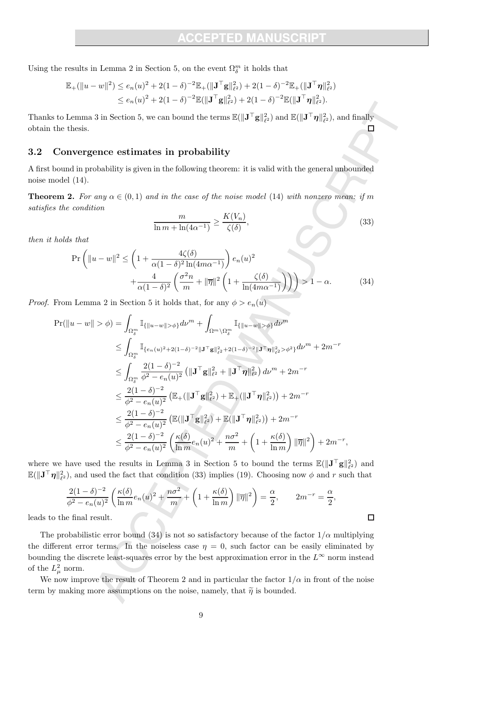Using the results in Lemma 2 in Section 5, on the event  $\Omega_{\delta}^m$  it holds that

$$
\mathbb{E}_{+}(\|u-w\|^{2}) \leq e_{n}(u)^{2} + 2(1-\delta)^{-2} \mathbb{E}_{+}(\|\mathbf{J}^{\top}\mathbf{g}\|_{\ell^{2}}^{2}) + 2(1-\delta)^{-2} \mathbb{E}_{+}(\|\mathbf{J}^{\top}\boldsymbol{\eta}\|_{\ell^{2}}^{2}) \leq e_{n}(u)^{2} + 2(1-\delta)^{-2} \mathbb{E}(\|\mathbf{J}^{\top}\mathbf{g}\|_{\ell^{2}}^{2}) + 2(1-\delta)^{-2} \mathbb{E}(\|\mathbf{J}^{\top}\boldsymbol{\eta}\|_{\ell^{2}}^{2}).
$$

Thanks to Lemma 3 in Section 5, we can bound the terms  $\mathbb{E}(\|\mathbf{J}^\top \mathbf{g}\|_{\ell^2}^2)$  and  $\mathbb{E}(\|\mathbf{J}^\top \boldsymbol{\eta}\|_{\ell^2}^2)$ , and finally obtain the thesis.  $\Box$ 

### 3.2 Convergence estimates in probability

A first bound in probability is given in the following theorem: it is valid with the general unbounded noise model (14).

**Theorem 2.** For any  $\alpha \in (0,1)$  and in the case of the noise model (14) with nonzero mean: if m satisfies the condition

$$
\frac{m}{\ln m + \ln(4\alpha^{-1})} \ge \frac{K(V_n)}{\zeta(\delta)},\tag{33}
$$

then it holds that

$$
\Pr\left(\|u-w\|^2 \le \left(1 + \frac{4\zeta(\delta)}{\alpha(1-\delta)^2 \ln(4m\alpha^{-1})}\right) e_n(u)^2 + \frac{4}{\alpha(1-\delta)^2} \left(\frac{\sigma^2 n}{m} + \|\overline{\eta}\|^2 \left(1 + \frac{\zeta(\delta)}{\ln(4m\alpha^{-1})}\right)\right)\right) > 1 - \alpha. \tag{34}
$$

*Proof.* From Lemma 2 in Section 5 it holds that, for any  $\phi > e_n(u)$ 

$$
\Pr(\|u-w\| > \phi) = \int_{\Omega_{\delta}^{m}} \mathbb{I}_{\{\|u-w\| > \phi\}} d\nu^{m} + \int_{\Omega^{m} \setminus \Omega_{\delta}^{m}} \mathbb{I}_{\{\|u-w\| > \phi\}} d\nu^{m}
$$
\n
$$
\leq \int_{\Omega_{\delta}^{m}} \mathbb{I}_{\{e_{n}(u)^{2}+2(1-\delta)^{-2}\|J^{\top}\mathbf{g}\|_{\ell^{2}}^{2}+2(1-\delta)^{-2}\|J^{\top}\eta\|_{\ell^{2}}^{2} > \phi^{2}\}} d\nu^{m} + 2m^{-r}
$$
\n
$$
\leq \int_{\Omega_{\delta}^{m}} \frac{2(1-\delta)^{-2}}{\phi^{2} - e_{n}(u)^{2}} (\|\mathbf{J}^{\top}\mathbf{g}\|_{\ell^{2}}^{2} + \|\mathbf{J}^{\top}\eta\|_{\ell^{2}}^{2}) d\nu^{m} + 2m^{-r}
$$
\n
$$
\leq \frac{2(1-\delta)^{-2}}{\phi^{2} - e_{n}(u)^{2}} (\mathbb{E}_{+}(\|\mathbf{J}^{\top}\mathbf{g}\|_{\ell^{2}}^{2}) + \mathbb{E}_{+}(\|\mathbf{J}^{\top}\eta\|_{\ell^{2}}^{2})) + 2m^{-r}
$$
\n
$$
\leq \frac{2(1-\delta)^{-2}}{\phi^{2} - e_{n}(u)^{2}} (\mathbb{E}(\|\mathbf{J}^{\top}\mathbf{g}\|_{\ell^{2}}^{2}) + \mathbb{E}(\|\mathbf{J}^{\top}\eta\|_{\ell^{2}}^{2})) + 2m^{-r}
$$
\n
$$
\leq \frac{2(1-\delta)^{-2}}{\phi^{2} - e_{n}(u)^{2}} (\frac{\kappa(\delta)}{\ln m}e_{n}(u)^{2} + \frac{n\sigma^{2}}{m} + \left(1 + \frac{\kappa(\delta)}{\ln m}\right) \|\overline{\eta}\|^{2} + 2m^{-r},
$$

where we have used the results in Lemma 3 in Section 5 to bound the terms  $\mathbb{E}(\|\mathbf{J}^\top \mathbf{g}\|_{\ell^2}^2)$  and  $\mathbb{E}(\|\mathbf{J}^\top \boldsymbol{\eta}\|_{\ell^2}^2)$ , and used the fact that condition (33) implies (19). Choosing now  $\phi$  and r such that

$$
\frac{2(1-\delta)^{-2}}{\phi^2 - e_n(u)^2} \left( \frac{\kappa(\delta)}{\ln m} e_n(u)^2 + \frac{n\sigma^2}{m} + \left( 1 + \frac{\kappa(\delta)}{\ln m} \right) \|\overline{\eta}\|^2 \right) = \frac{\alpha}{2}, \qquad 2m^{-r} = \frac{\alpha}{2},
$$
  
the final result.

leads to the

The probabilistic error bound (34) is not so satisfactory because of the factor  $1/\alpha$  multiplying the different error terms. In the noiseless case  $\eta = 0$ , such factor can be easily eliminated by bounding the discrete least-squares error by the best approximation error in the  $L^{\infty}$  norm instead of the  $L^2_{\mu}$  norm.

We now improve the result of Theorem 2 and in particular the factor  $1/\alpha$  in front of the noise term by making more assumptions on the noise, namely, that  $\tilde{\eta}$  is bounded.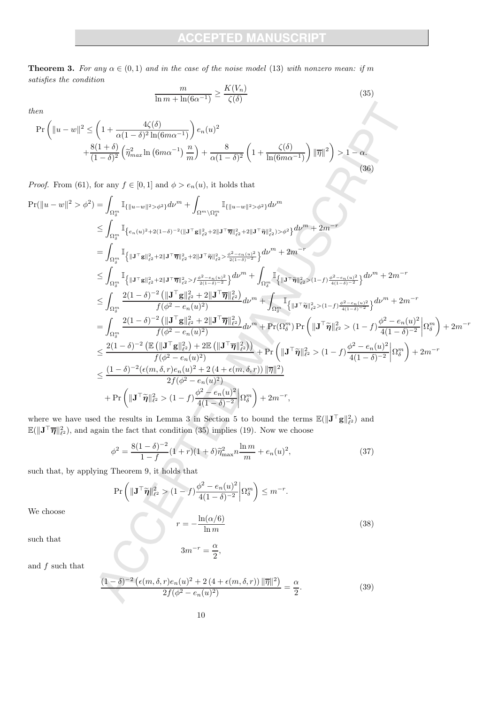**Theorem 3.** For any  $\alpha \in (0,1)$  and in the case of the noise model (13) with nonzero mean: if m satisfies the condition

$$
\frac{m}{\ln m + \ln(6\alpha^{-1})} \ge \frac{K(V_n)}{\zeta(\delta)}\tag{35}
$$

then

$$
\Pr\left(\|u-w\|^2 \le \left(1 + \frac{4\zeta(\delta)}{\alpha(1-\delta)^2 \ln(6m\alpha^{-1})}\right) e_n(u)^2 + \frac{8(1+\delta)}{(1-\delta)^2} \left(\tilde{\eta}_{max}^2 \ln(6m\alpha^{-1}) \frac{n}{m}\right) + \frac{8}{\alpha(1-\delta)^2} \left(1 + \frac{\zeta(\delta)}{\ln(6m\alpha^{-1})}\right) \|\overline{\eta}\|^2\right) > 1 - \alpha.
$$
\n(36)

*Proof.* From (61), for any  $f \in [0, 1]$  and  $\phi > e_n(u)$ , it holds that

$$
\begin{split} \Pr(\|u-w\|^{2} > \phi^{2}) & = \int_{\Omega_{0}^{m}} \mathbb{I}_{\{\|u-w\|^{2} > \phi^{2}\}} d\nu^{m} + \int_{\Omega^{m} \backslash \Omega_{\delta}^{m}} \mathbb{I}_{\{\|u-w\|^{2} > \phi^{2}\}} d\nu^{m} \\ & \leq \int_{\Omega_{0}^{m}} \mathbb{I}_{\{e_{n}(u)^{2} + 2(1-\delta)^{-2}(\|{\mathbf{J}}^{\top}\mathbf{g}\|_{\ell^{2}}^{2} + 2\|{\mathbf{J}}^{\top}\tilde{\boldsymbol{\eta}}\|_{\ell^{2}}^{2} + 2\|{\mathbf{J}}^{\top}\tilde{\boldsymbol{\eta}}\|_{\ell^{2}}^{2}) > \phi^{2}\}} d\nu^{m} + 2m^{-r} \\ & = \int_{\Omega_{0}^{m}} \mathbb{I}_{\{\|{\mathbf{J}}^{\top}\mathbf{g}\|_{\ell^{2}}^{2} + 2\|{\mathbf{J}}^{\top}\tilde{\boldsymbol{\eta}}\|_{\ell^{2}}^{2} + 2\|{\mathbf{J}}^{\top}\tilde{\boldsymbol{\eta}}\|_{\ell^{2}}^{2} > \frac{\phi^{2} - e_{n}(u)^{2}}{2(1-\delta)^{-2}}\}} d\nu^{m} + 2m^{-r} \\ & \leq \int_{\Omega_{0}^{m}} \mathbb{I}_{\{\|{\mathbf{J}}^{\top}\mathbf{g}\|_{\ell^{2}}^{2} + 2\|{\mathbf{J}}^{\top}\tilde{\boldsymbol{\eta}}\|_{\ell^{2}}^{2} > \frac{\phi^{2} - e_{n}(u)^{2}}{2(1-\delta)^{-2}}\}} d\nu^{m} + \int_{\Omega_{0}^{m}} \mathbb{I}_{\{\|{\mathbf{J}}^{\top}\tilde{\boldsymbol{\eta}}\|_{\ell^{2}}^{2} > (1-f) \frac{\phi^{2} - e_{n}(u)^{2}}{4(1-\delta)^{-2}}\}} d\nu^{m} + 2m^{-r} \\ & \leq \int_{\Omega_{0}^{m}} \frac{2(1-\delta)^{-2} \left(\|\mathbf{J}^{\top}\mathbf{g}\|_{\ell^{2}}^{2} + 2\|\mathbf{J}^{\top}\tilde{\boldsymbol{\eta}}\|_{\ell^{2}}^{2}\right)}{f(\phi^{2} - e_{n}(u)^{2})} d
$$

where we have used the results in Lemma 3 in Section 5 to bound the terms  $\mathbb{E}(\|\mathbf{J}^\top \mathbf{g}\|_{\ell^2}^2)$  and  $\mathbb{E}(\|\mathbf{J}^\top \overline{\pmb{\eta}}\|^2_{\ell^2})$ , and again the fact that condition (35) implies (19). Now we choose

$$
\phi^2 = \frac{8(1-\delta)^{-2}}{1-f}(1+r)(1+\delta)\tilde{\eta}_{\max}^2 n \frac{\ln m}{m} + e_n(u)^2,\tag{37}
$$

such that, by applying Theorem 9, it holds that

$$
\Pr\left(\|\mathbf{J}^{\top}\widetilde{\boldsymbol{\eta}}\|_{\ell^2}^2 > (1-f)\frac{\phi^2 - e_n(u)^2}{4(1-\delta)^{-2}}\right|\Omega_{\delta}^m\right) \le m^{-r}.
$$
\n
$$
r = -\frac{\ln(\alpha/6)}{1-\delta}.
$$
\n(38)

We choose

$$
r = -\frac{\ln(\alpha/6)}{\ln m}
$$

such that

$$
3m^{-r} = \frac{\alpha}{2},
$$

and  $f$  such that

$$
\frac{(1-\delta)^{-2}\left(\epsilon(m,\delta,r)e_n(u)^2+2\left(4+\epsilon(m,\delta,r)\right)\|\overline{\eta}\|^2\right)}{2f(\phi^2-e_n(u)^2)}=\frac{\alpha}{2}.\tag{39}
$$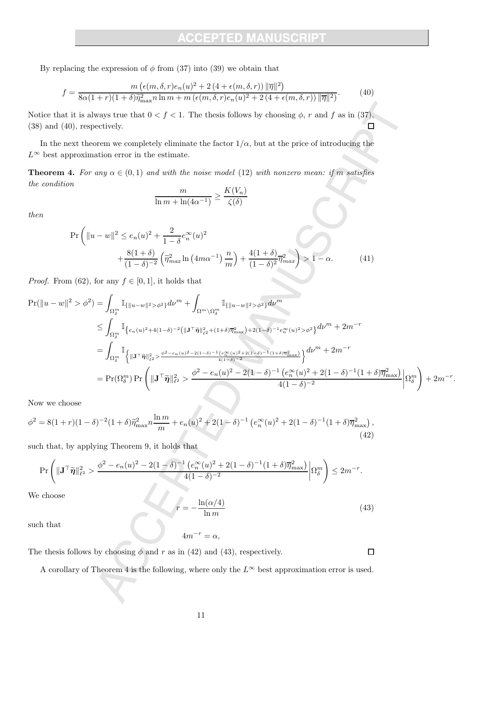By replacing the expression of  $\phi$  from (37) into (39) we obtain that

$$
f = \frac{m\left(\epsilon(m,\delta,r)e_n(u)^2 + 2\left(4 + \epsilon(m,\delta,r)\right) \|\overline{\eta}\|^2\right)}{8\alpha(1+r)(1+\delta)\overline{\eta}_{\max}^2 n \ln m + m\left(\epsilon(m,\delta,r)e_n(u)^2 + 2\left(4 + \epsilon(m,\delta,r)\right) \|\overline{\eta}\|^2\right)}.
$$
(40)

Notice that it is always true that  $0 < f < 1$ . The thesis follows by choosing  $\phi$ , r and f as in (37), (38) and (40), respectively.  $\Box$ 

In the next theorem we completely eliminate the factor  $1/\alpha$ , but at the price of introducing the  $L^{\infty}$  best approximation error in the estimate.

**Theorem 4.** For any  $\alpha \in (0,1)$  and with the noise model (12) with nonzero mean: if m satisfies the condition

$$
\frac{m}{\ln m + \ln(4\alpha^{-1})} \ge \frac{K(V_n)}{\zeta(\delta)}
$$

then

$$
\Pr\left(\|u-w\|^2 \le e_n(u)^2 + \frac{2}{1-\delta}e_n^{\infty}(u)^2 + \frac{8(1+\delta)}{(1-\delta)^{-2}}\left(\tilde{\eta}_{max}^2 \ln\left(4m\alpha^{-1}\right)\frac{n}{m}\right) + \frac{4(1+\delta)}{(1-\delta)^2}\overline{\eta}_{max}^2\right) > 1 - \alpha.
$$
 (41)

*Proof.* From (62), for any  $f \in [0, 1]$ , it holds that

$$
\begin{split} \Pr(\|u-w\|^{2} > \phi^{2}) &= \int_{\Omega_{\delta}^{m}} \mathbb{I}_{\{\|u-w\|^{2} > \phi^{2}\}} d\nu^{m} + \int_{\Omega^{m} \setminus \Omega_{\delta}^{m}} \mathbb{I}_{\{\|u-w\|^{2} > \phi^{2}\}} d\nu^{m} \\ &\leq \int_{\Omega_{\delta}^{m}} \mathbb{I}_{\left\{e_{n}(u)^{2} + 4(1-\delta)^{-2}(\|J^{\top}\tilde{\pmb{\eta}}\|_{\ell^{2}}^{2} + (1+\delta)\overline{\eta}_{\max}^{2}) + 2(1-\delta)^{-1}e_{n}^{\infty}(u)^{2} > \phi^{2}\right\}} d\nu^{m} + 2m^{-r} \\ &= \int_{\Omega_{\delta}^{m}} \mathbb{I}_{\left\{\|J^{\top}\tilde{\pmb{\eta}}\|_{\ell^{2}}^{2} > \frac{\phi^{2} - e_{n}(u)^{2} - 2(1-\delta)^{-1}(e_{n}^{\infty}(u)^{2} + 2(1-\delta)^{-1}(1+\delta)\overline{\eta}_{\max}^{2})}{4(1-\delta)^{-2}}\right\}} d\nu^{m} + 2m^{-r} \\ &= \Pr(\Omega_{\delta}^{m}) \Pr\left(\|J^{\top}\tilde{\pmb{\eta}}\|_{\ell^{2}}^{2} > \frac{\phi^{2} - e_{n}(u)^{2} - 2(1-\delta)^{-1}(e_{n}^{\infty}(u)^{2} + 2(1-\delta)^{-1}(1+\delta)\overline{\eta}_{\max}^{2})}{4(1-\delta)^{-2}}\right|\Omega_{\delta}^{m}\right) + 2m^{-r}. \end{split}
$$

Now we choose

$$
\phi^2 = 8(1+r)(1-\delta)^{-2}(1+\delta)\tilde{\eta}_{\max}^2 n \frac{\ln m}{m} + e_n(u)^2 + 2(1-\delta)^{-1} \left( e_n^{\infty}(u)^2 + 2(1-\delta)^{-1}(1+\delta)\overline{\eta}_{\max}^2 \right),\tag{42}
$$

such that, by applying Theorem 9, it holds that

$$
\Pr\left(\|\mathbf{J}^\top\widetilde{\boldsymbol{\eta}}\|^2_{\ell^2} > \frac{\phi^2 - e_n(u)^2 - 2(1-\delta)^{-1}\left(e_n^\infty(u)^2 + 2(1-\delta)^{-1}(1+\delta)\overline{\eta}_{\max}^2\right)}{4(1-\delta)^{-2}}\bigg|\Omega_\delta^m\right) \leq 2m^{-r}.
$$

We choose

$$
r = -\frac{\ln(\alpha/4)}{\ln m} \tag{43}
$$

such that

 $4m^{-r} = \alpha$ .

The thesis follows by choosing  $\phi$  and r as in (42) and (43), respectively.

A corollary of Theorem 4 is the following, where only the  $L^{\infty}$  best approximation error is used.

 $\Box$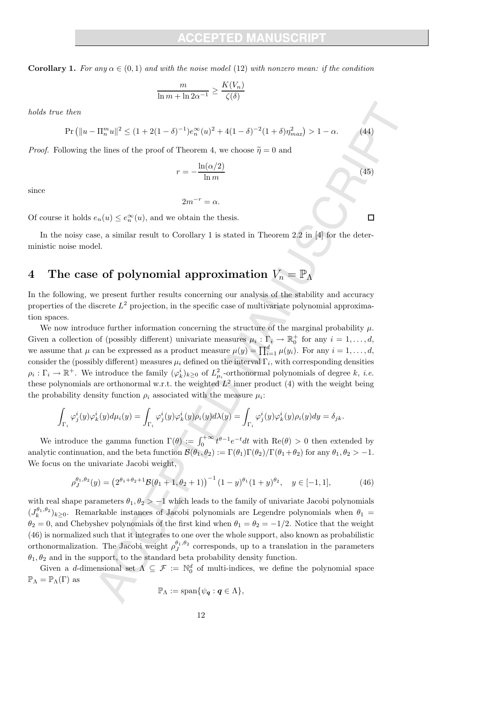**Corollary 1.** For any  $\alpha \in (0,1)$  and with the noise model (12) with nonzero mean: if the condition

$$
\frac{m}{\ln m + \ln 2\alpha^{-1}} \ge \frac{K(V_n)}{\zeta(\delta)}
$$

holds true then

$$
\Pr\left(\|u-\Pi_n^m u\|^2 \le (1+2(1-\delta)^{-1})e_n^{\infty}(u)^2 + 4(1-\delta)^{-2}(1+\delta)\eta_{max}^2\right) > 1-\alpha.
$$

*Proof.* Following the lines of the proof of Theorem 4, we choose  $\tilde{\eta} = 0$  and

$$
r = -\frac{\ln(\alpha/2)}{\ln m}
$$

since

 $2m^{-r} = \alpha$ .

Of course it holds  $e_n(u) \leq e_n^{\infty}(u)$ , and we obtain the thesis.

In the noisy case, a similar result to Corollary 1 is stated in Theorem 2.2 in [4] for the deterministic noise model.

# 4 The case of polynomial approximation  $V_n = \mathbb{P}_{\Lambda}$

In the following, we present further results concerning our analysis of the stability and accuracy properties of the discrete  $L^2$  projection, in the specific case of multivariate polynomial approximation spaces.

We now introduce further information concerning the structure of the marginal probability  $\mu$ . Given a collection of (possibly different) univariate measures  $\mu_i : \Gamma_i \to \mathbb{R}_0^+$  for any  $i = 1, \ldots, d$ , we assume that  $\mu$  can be expressed as a product measure  $\mu(y) = \prod_{i=1}^{d} \mu(y_i)$ . For any  $i = 1, \ldots, d$ , consider the (possibly different) measures  $\mu_i$  defined on the interval  $\Gamma_i$ , with corresponding densities  $\rho_i : \Gamma_i \to \mathbb{R}^+$ . We introduce the family  $(\varphi_k^i)_{k \geq 0}$  of  $L^2_{\mu_i}$ -orthonormal polynomials of degree k, *i.e.* these polynomials are orthonormal w.r.t. the weighted  $L^2$  inner product (4) with the weight being the probability density function  $\rho_i$  associated with the measure  $\mu_i$ :

$$
\int_{\Gamma_i} \varphi_j^i(y) \varphi_k^i(y) d\mu_i(y) = \int_{\Gamma_i} \varphi_j^i(y) \varphi_k^i(y) \rho_i(y) d\lambda(y) = \int_{\Gamma_i} \varphi_j^i(y) \varphi_k^i(y) \rho_i(y) dy = \delta_{jk}.
$$

We introduce the gamma function  $\Gamma(\theta) := \int_0^{+\infty} t^{\theta-1} e^{-t} dt$  with  $\text{Re}(\theta) > 0$  then extended by analytic continuation, and the beta function  $\mathcal{B}(\theta_1, \theta_2) := \Gamma(\theta_1)\Gamma(\theta_2)/\Gamma(\theta_1+\theta_2)$  for any  $\theta_1, \theta_2 > -1$ . We focus on the univariate Jacobi weight,

$$
\rho_J^{\theta_1, \theta_2}(y) = \left(2^{\theta_1 + \theta_2 + 1} \mathcal{B}(\theta_1 + 1, \theta_2 + 1)\right)^{-1} (1 - y)^{\theta_1} (1 + y)^{\theta_2}, \quad y \in [-1, 1],
$$
 (46)

with real shape parameters  $\theta_1, \theta_2 > -1$  which leads to the family of univariate Jacobi polynomials  $(J_k^{\theta_1,\theta_2})_{k\geq 0}$ . Remarkable instances of Jacobi polynomials are Legendre polynomials when  $\theta_1$  $\theta_2 = 0$ , and Chebyshev polynomials of the first kind when  $\theta_1 = \theta_2 = -1/2$ . Notice that the weight (46) is normalized such that it integrates to one over the whole support, also known as probabilistic orthonormalization. The Jacobi weight  $\rho_J^{\theta_1,\theta_2}$  corresponds, up to a translation in the parameters  $\theta_1, \theta_2$  and in the support, to the standard beta probability density function.

Given a d-dimensional set  $\Lambda \subseteq \mathcal{F} := \mathbb{N}_0^d$  of multi-indices, we define the polynomial space  $\mathbb{P}_{\Lambda} = \mathbb{P}_{\Lambda}(\Gamma)$  as

$$
\mathbb{P}_{\Lambda}:=\mathrm{span}\{\psi_{\boldsymbol{q}}:\boldsymbol{q}\in\Lambda\},\
$$

 $\Box$ 

 $(44)$ 

 $(45)$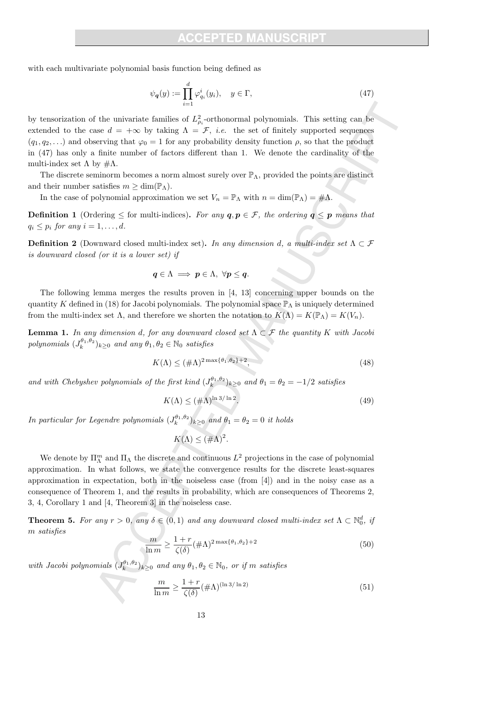with each multivariate polynomial basis function being defined as

$$
\psi_{\mathbf{q}}(y) := \prod_{i=1}^{d} \varphi_{q_i}^i(y_i), \quad y \in \Gamma,
$$
\n(47)

by tensorization of the univariate families of  $L^2_{\rho_i}$ -orthonormal polynomials. This setting can be extended to the case  $d = +\infty$  by taking  $\Lambda = \mathcal{F}$ , *i.e.* the set of finitely supported sequences  $(q_1, q_2, \ldots)$  and observing that  $\varphi_0 = 1$  for any probability density function  $\rho$ , so that the product in (47) has only a finite number of factors different than 1. We denote the cardinality of the multi-index set  $\Lambda$  by  $\#\Lambda$ .

The discrete seminorm becomes a norm almost surely over  $\mathbb{P}_{\Lambda}$ , provided the points are distinct and their number satisfies  $m \geq \dim(\mathbb{P}_{\Lambda})$ .

In the case of polynomial approximation we set  $V_n = \mathbb{P}_{\Lambda}$  with  $n = \dim(\mathbb{P}_{\Lambda}) = \#\Lambda$ .

**Definition 1** (Ordering  $\leq$  for multi-indices). For any  $q, p \in \mathcal{F}$ , the ordering  $q \leq p$  means that  $q_i \leq p_i$  for any  $i = 1, \ldots, d$ .

**Definition 2** (Downward closed multi-index set). In any dimension d, a multi-index set  $\Lambda \subset \mathcal{F}$ is downward closed (or it is a lower set) if

$$
q\in \Lambda \implies p\in \Lambda, \ \forall p\leq q.
$$

The following lemma merges the results proven in [4, 13] concerning upper bounds on the quantity K defined in (18) for Jacobi polynomials. The polynomial space  $\mathbb{P}_{\Lambda}$  is uniquely determined from the multi-index set  $\Lambda$ , and therefore we shorten the notation to  $K(\Lambda) = K(\mathbb{P}_{\Lambda}) = K(V_n)$ .

**Lemma 1.** In any dimension d, for any downward closed set  $\Lambda \subset \mathcal{F}$  the quantity K with Jacobi polynomials  $(J_k^{\theta_1,\theta_2})_{k\geq 0}$  and any  $\theta_1, \theta_2 \in \mathbb{N}_0$  satisfies

$$
K(\Lambda) \leq (\#\Lambda)^{2\max\{\theta_1, \theta_2\}+2},\tag{48}
$$

and with Chebyshev polynomials of the first kind  $(J_k^{\theta_1,\theta_2})_{k\geq 0}$  and  $\theta_1 = \theta_2 = -1/2$  satisfies

$$
K(\Lambda) \le (\#\Lambda)^{\ln 3/\ln 2}.\tag{49}
$$

In particular for Legendre polynomials  $(J_k^{\theta_1,\theta_2})_{k\geq 0}$  and  $\theta_1 = \theta_2 = 0$  it holds

$$
K(\Lambda) \leq (\# \Lambda)^2.
$$

We denote by  $\Pi_{\Lambda}^{m}$  and  $\Pi_{\Lambda}$  the discrete and continuous  $L^{2}$  projections in the case of polynomial approximation. In what follows, we state the convergence results for the discrete least-squares approximation in expectation, both in the noiseless case (from [4]) and in the noisy case as a consequence of Theorem 1, and the results in probability, which are consequences of Theorems 2, 3, 4, Corollary 1 and [4, Theorem 3] in the noiseless case.

**Theorem 5.** For any  $r > 0$ , any  $\delta \in (0,1)$  and any downward closed multi-index set  $\Lambda \subset \mathbb{N}_0^d$ , if m satisfies

$$
\frac{m}{\ln m} \ge \frac{1+r}{\zeta(\delta)} (\#\Lambda)^{2\max\{\theta_1, \theta_2\}+2} \tag{50}
$$

with Jacobi polynomials  $(J_k^{\theta_1,\theta_2})_{k\geq 0}$  and any  $\theta_1, \theta_2 \in \mathbb{N}_0$ , or if m satisfies

$$
\frac{m}{\ln m} \ge \frac{1+r}{\zeta(\delta)} (\# \Lambda)^{(\ln 3/\ln 2)} \tag{51}
$$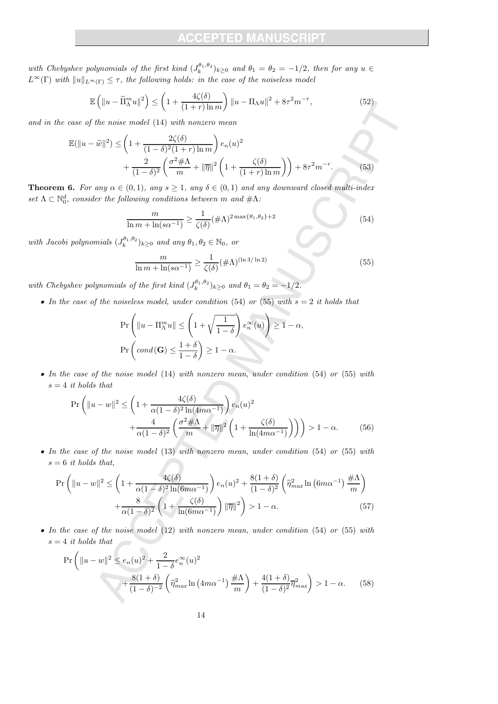with Chebyshev polynomials of the first kind  $(J_k^{\theta_1,\theta_2})_{k\geq 0}$  and  $\theta_1 = \theta_2 = -1/2$ , then for any  $u \in$  $L^{\infty}(\Gamma)$  with  $||u||_{L^{\infty}(\Gamma)} \leq \tau$ , the following holds: in the case of the noiseless model

$$
\mathbb{E}\left(\|u-\widetilde{\Pi}_{\Lambda}^m u\|^2\right) \le \left(1+\frac{4\zeta(\delta)}{(1+r)\ln m}\right) \|u-\Pi_{\Lambda}u\|^2 + 8\tau^2 m^{-r},\tag{52}
$$

and in the case of the noise model (14) with nonzero mean

$$
\mathbb{E}(\|u-\widetilde{w}\|^2) \le \left(1 + \frac{2\zeta(\delta)}{(1-\delta)^2(1+r)\ln m}\right) e_n(u)^2 + \frac{2}{(1-\delta)^2} \left(\frac{\sigma^2 \# \Lambda}{m} + \|\overline{\eta}\|^2 \left(1 + \frac{\zeta(\delta)}{(1+r)\ln m}\right)\right) + 8\tau^2 m^{-r}.
$$
\n(53)

**Theorem 6.** For any  $\alpha \in (0,1)$ , any  $s \geq 1$ , any  $\delta \in (0,1)$  and any downward closed multi-index set  $\Lambda \subset \mathbb{N}_0^d$ , consider the following conditions between m and  $\#\Lambda$ :  $\langle \cdot \rangle$ 

$$
\frac{m}{\ln m + \ln(s\alpha^{-1})} \ge \frac{1}{\zeta(\delta)} (\# \Lambda)^{2\max\{\theta_1, \theta_2\}+2}
$$
\n(54)

with Jacobi polynomials  $(J_k^{\theta_1,\theta_2})_{k\geq 0}$  and any  $\theta_1, \theta_2 \in \mathbb{N}_0$ , or

$$
\frac{m}{\ln m + \ln(s\alpha^{-1})} \ge \frac{1}{\zeta(\delta)} (\# \Lambda)^{(\ln 3/\ln 2)} \tag{55}
$$

with Chebyshev polynomials of the first kind  $(J_k^{0_1, \theta_2})_{k \geq 0}$  and  $\theta_1 = \theta_2 = -1/2$ .

• In the case of the noiseless model, under condition (54) or (55) with  $s = 2$  it holds that

$$
\Pr\left(\|u - \Pi_{\Lambda}^m u\| \le \left(1 + \sqrt{\frac{1}{1-\delta}}\right) e_n^{\infty}(u)\right) \ge 1 - \alpha,
$$
  

$$
\Pr\left(\text{cond}(\mathbf{G}) \le \frac{1+\delta}{1-\delta}\right) \ge 1 - \alpha.
$$

• In the case of the noise model (14) with nonzero mean, under condition (54) or (55) with  $s = 4$  it holds that

$$
\Pr\left(\|u-w\|^2 \le \left(1 + \frac{4\zeta(\delta)}{\alpha(1-\delta)^2 \ln(4m\alpha^{-1})}\right) e_n(u)^2 + \frac{4}{\alpha(1-\delta)^2} \left(\frac{\sigma^2 \# \Lambda}{m} + \|\overline{\eta}\|^2 \left(1 + \frac{\zeta(\delta)}{\ln(4m\alpha^{-1})}\right)\right)\right) > 1 - \alpha. \tag{56}
$$

• In the case of the noise model (13) with nonzero mean, under condition (54) or (55) with  $s = 6$  it holds that,

$$
\Pr\left(\|u-w\|^2 \le \left(1 + \frac{4\zeta(\delta)}{\alpha(1-\delta)^2\ln(6m\alpha^{-1})}\right) e_n(u)^2 + \frac{8(1+\delta)}{(1-\delta)^2} \left(\tilde{\eta}_{max}^2 \ln\left(6m\alpha^{-1}\right)\frac{\#\Lambda}{m}\right) + \frac{8}{\alpha(1-\delta)^2} \left(1 + \frac{\zeta(\delta)}{\ln(6m\alpha^{-1})}\right) \|\overline{\eta}\|^2\right) > 1-\alpha. \tag{57}
$$

• In the case of the noise model  $(12)$  with nonzero mean, under condition  $(54)$  or  $(55)$  with  $s = 4$  it holds that

$$
\Pr\left(\|u-w\|^2 \le e_n(u)^2 + \frac{2}{1-\delta}e_n^{\infty}(u)^2 + \frac{8(1+\delta)}{(1-\delta)^{-2}}\left(\tilde{\eta}_{max}^2 \ln\left(4m\alpha^{-1}\right)\frac{\#\Lambda}{m}\right) + \frac{4(1+\delta)}{(1-\delta)^2}\overline{\eta}_{max}^2\right) > 1-\alpha. \tag{58}
$$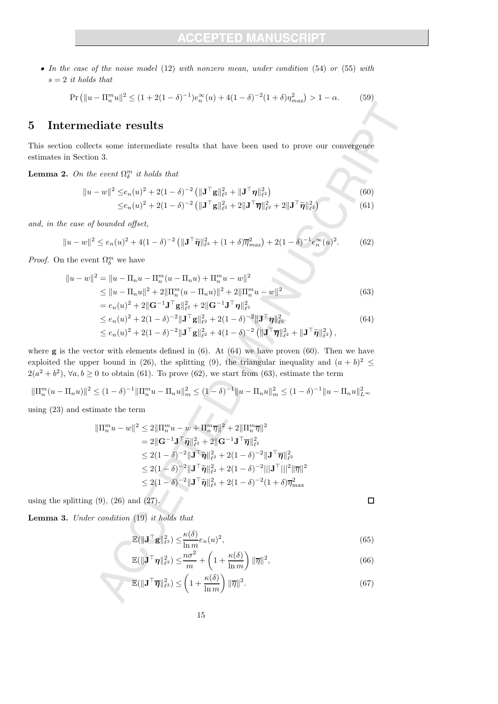• In the case of the noise model (12) with nonzero mean, under condition (54) or (55) with  $s = 2$  it holds that

$$
\Pr\left(\|u - \Pi_n^m u\|^2 \le (1 + 2(1 - \delta)^{-1})e_n^{\infty}(u) + 4(1 - \delta)^{-2}(1 + \delta)\eta_{max}^2\right) > 1 - \alpha. \tag{59}
$$

### 5 Intermediate results

This section collects some intermediate results that have been used to prove our convergence estimates in Section 3.

**Lemma 2.** On the event  $\Omega_{\delta}^{m}$  it holds that

$$
||u - w||^2 \leq e_n(u)^2 + 2(1 - \delta)^{-2} \left( \|\mathbf{J}^\top \mathbf{g}\|_{\ell^2}^2 + \|\mathbf{J}^\top \boldsymbol{\eta}\|_{\ell^2}^2 \right)
$$
 (60)

$$
\leq e_n(u)^2 + 2(1 - \delta)^{-2} \left( \|\mathbf{J}^\top \mathbf{g}\|_{\ell^2}^2 + 2\|\mathbf{J}^\top \overline{\boldsymbol{\eta}}\|_{\ell^2}^2 + 2\|\mathbf{J}^\top \widetilde{\boldsymbol{\eta}}\|_{\ell^2}^2 \right) \tag{61}
$$

and, in the case of bounded offset,

$$
||u - w||^2 \le e_n(u)^2 + 4(1 - \delta)^{-2} \left( ||\mathbf{J}^\top \tilde{\boldsymbol{\eta}}||_{\ell^2}^2 + (1 + \delta)\overline{\boldsymbol{\eta}}_{max}^2 \right) + 2(1 - \delta)^{-1} e_n^{\infty}(u)^2.
$$
 (62)

*Proof.* On the event  $\Omega_{\delta}^{m}$  we have

$$
||u - w||^2 = ||u - \Pi_n u - \Pi_n^m (u - \Pi_n u) + \Pi_n^m u - w||^2
$$
  
\n
$$
\le ||u - \Pi_n u||^2 + 2||\Pi_n^m (u - \Pi_n u)||^2 + 2||\Pi_n^m u - w||^2
$$
  
\n
$$
= e_n(u)^2 + 2||\mathbf{G}^{-1}\mathbf{J}^\top \mathbf{g}||_{\ell^2}^2 + 2||\mathbf{G}^{-1}\mathbf{J}^\top \mathbf{\eta}||_{\ell^2}^2
$$
\n(63)

$$
\leq e_n(u)^2 + 2(1 - \delta)^{-2} \|\mathbf{J}^\top \mathbf{g}\|_{\ell^2}^2 + 2(1 - \delta)^{-2} \|\mathbf{J}^\top \boldsymbol{\eta}\|_{\ell^2}^2
$$
\n
$$
\leq e_n(u)^2 + 2(1 - \delta)^{-2} \|\mathbf{J}^\top \mathbf{g}\|_{\ell^2}^2 + 4(1 - \delta)^{-2} \left(\|\mathbf{J}^\top \boldsymbol{\overline{\eta}}\|_{\ell^2}^2 + \|\mathbf{J}^\top \boldsymbol{\widetilde{\eta}}\|_{\ell^2}^2\right),
$$
\n(64)

where  $g$  is the vector with elements defined in  $(6)$ . At  $(64)$  we have proven  $(60)$ . Then we have exploited the upper bound in (26), the splitting (9), the triangular inequality and  $(a + b)^2 \le$  $2(a^2 + b^2)$ ,  $\forall a, b \ge 0$  to obtain (61). To prove (62), we start from (63), estimate the term

$$
\|\Pi_n^m(u - \Pi_n u)\|^2 \le (1 - \delta)^{-1} \|\Pi_n^m u - \Pi_n u\|_m^2 \le (1 - \delta)^{-1} \|u - \Pi_n u\|_m^2 \le (1 - \delta)^{-1} \|u - \Pi_n u\|_{L^\infty}^2
$$

using (23) and estimate the term

$$
\|\Pi_{n}^{m} u - w\|^{2} \leq 2\|\Pi_{n}^{m} u - w + \Pi_{n}^{m} \overline{\eta}\|^{2} + 2\|\Pi_{n}^{m} \overline{\eta}\|^{2}
$$
  
= 2 $\|\mathbf{G}^{-1} \mathbf{J}^{\top} \widetilde{\eta}\|_{\ell^{2}}^{2} + 2\|\mathbf{G}^{-1} \mathbf{J}^{\top} \overline{\eta}\|_{\ell^{2}}^{2}$   

$$
\leq 2(1 - \delta)^{-2} \|\mathbf{J}^{\top} \widetilde{\eta}\|_{\ell^{2}}^{2} + 2(1 - \delta)^{-2} \|\mathbf{J}^{\top} \overline{\eta}\|_{\ell^{2}}^{2}
$$
  

$$
\leq 2(1 - \delta)^{-2} \|\mathbf{J}^{\top} \widetilde{\eta}\|_{\ell^{2}}^{2} + 2(1 - \delta)^{-2} \|\mathbf{J}^{\top} \|\overline{\eta}\|^{2}
$$
  

$$
\leq 2(1 - \delta)^{-2} \|\mathbf{J}^{\top} \widetilde{\eta}\|_{\ell^{2}}^{2} + 2(1 - \delta)^{-2} (1 + \delta) \overline{\eta}_{\max}^{2}
$$

using the splitting  $(9)$ ,  $(26)$  and  $(27)$ .

**Lemma 3.** Under condition  $(19)$  it holds that

$$
\mathbb{E}(\|\mathbf{J}^{\top}\mathbf{g}\|_{\ell^2}^2) \leq \frac{\kappa(\delta)}{\ln m} e_n(u)^2,
$$
\n(65)

 $\Box$ 

$$
\mathbb{E}(\|\mathbf{J}^{\top}\boldsymbol{\eta}\|_{\ell^2}^2) \leq \frac{n\sigma^2}{m} + \left(1 + \frac{\kappa(\delta)}{\ln m}\right) \|\overline{\eta}\|^2, \tag{66}
$$

$$
\mathbb{E}(\|\mathbf{J}^{\top}\overline{\boldsymbol{\eta}}\|_{\ell^2}^2) \leq \left(1 + \frac{\kappa(\delta)}{\ln m}\right) \|\overline{\eta}\|^2. \tag{67}
$$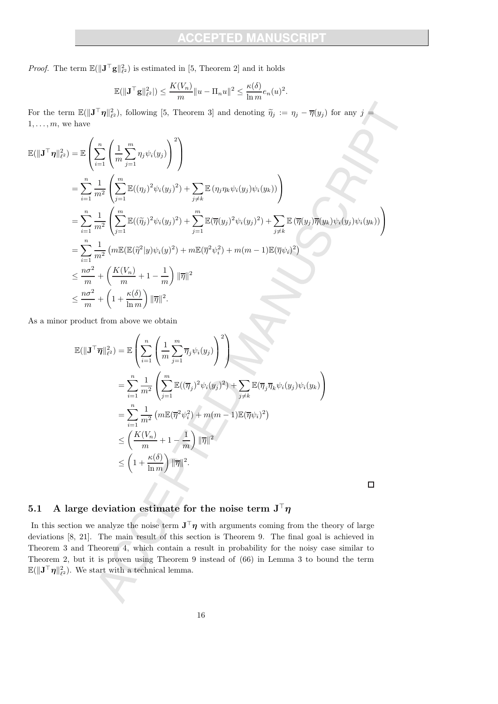*Proof.* The term  $\mathbb{E}(\|\mathbf{J}^\top \mathbf{g}\|_{\ell^2}^2)$  is estimated in [5, Theorem 2] and it holds

$$
\mathbb{E}(\|\mathbf{J}^\top \mathbf{g}\|_{\ell^2}^2|) \le \frac{K(V_n)}{m} \|u - \Pi_n u\|^2 \le \frac{\kappa(\delta)}{\ln m} e_n(u)^2.
$$

For the term  $\mathbb{E}(\|\mathbf{J}^\top \boldsymbol{\eta}\|^2_{\ell^2})$ , following [5, Theorem 3] and denoting  $\widetilde{\eta}_j := \eta_j - \overline{\eta}(y_j)$  for any  $j =$  $1, \ldots, m$ , we have

$$
\mathbb{E}(\|\mathbf{J}^{\top}\boldsymbol{\eta}\|_{\ell^2}^2) = \mathbb{E}\left(\sum_{i=1}^n \left(\frac{1}{m}\sum_{j=1}^m \eta_j \psi_i(y_j)\right)^2\right)
$$
\n
$$
= \sum_{i=1}^n \frac{1}{m^2} \left(\sum_{j=1}^m \mathbb{E}((\eta_j)^2 \psi_i(y_j)^2) + \sum_{j\neq k} \mathbb{E}(\eta_j \eta_k \psi_i(y_j) \psi_i(y_k))\right)
$$
\n
$$
= \sum_{i=1}^n \frac{1}{m^2} \left(\sum_{j=1}^m \mathbb{E}((\widetilde{\eta}_j)^2 \psi_i(y_j)^2) + \sum_{j=1}^m \mathbb{E}(\overline{\eta}(y_j)^2 \psi_i(y_j)^2) + \sum_{j\neq k} \mathbb{E}(\overline{\eta}(y_j)\overline{\eta}(y_k) \psi_i(y_j) \psi_i(y_k))\right)
$$
\n
$$
= \sum_{i=1}^n \frac{1}{m^2} \left(m \mathbb{E}(\mathbb{E}(\widetilde{\eta}^2|y)\psi_i(y)^2) + m \mathbb{E}(\overline{\eta}^2 \psi_i^2) + m(m-1) \mathbb{E}(\overline{\eta}\psi_i)^2\right)
$$
\n
$$
\leq \frac{n\sigma^2}{m} + \left(\frac{K(V_n)}{m} + 1 - \frac{1}{m}\right) \|\overline{\eta}\|^2
$$
\n
$$
\leq \frac{n\sigma^2}{m} + \left(1 + \frac{\kappa(\delta)}{\ln m}\right) \|\overline{\eta}\|^2.
$$

As a minor product from above we obtain

$$
\mathbb{E}(\|\mathbf{J}^{\top}\overline{\boldsymbol{\eta}}\|_{\ell^2}^2) = \mathbb{E}\left(\sum_{i=1}^n \left(\frac{1}{m}\sum_{j=1}^m \overline{\eta}_j \psi_i(y_j)\right)^2\right)
$$
  
\n
$$
= \sum_{i=1}^n \frac{1}{m^2} \left(\sum_{j=1}^m \mathbb{E}((\overline{\eta}_j)^2 \psi_i(y_j)^2) + \sum_{j\neq k} \mathbb{E}(\overline{\eta}_j \overline{\eta}_k \psi_i(y_j) \psi_i(y_k)\right)
$$
  
\n
$$
= \sum_{i=1}^n \frac{1}{m^2} \left(m \mathbb{E}(\overline{\eta}^2 \psi_i^2) + m(m-1) \mathbb{E}(\overline{\eta} \psi_i)^2\right)
$$
  
\n
$$
\leq \left(\frac{K(V_n)}{m} + 1 - \frac{1}{m}\right) \|\overline{\eta}\|^2
$$
  
\n
$$
\leq \left(1 + \frac{\kappa(\delta)}{\ln m}\right) \|\overline{\eta}\|^2.
$$

 $\Box$ 

# 5.1 A large deviation estimate for the noise term  $J<sup>T</sup> \eta$

In this section we analyze the noise term  $J^{\top}\eta$  with arguments coming from the theory of large deviations [8, 21]. The main result of this section is Theorem 9. The final goal is achieved in Theorem 3 and Theorem 4, which contain a result in probability for the noisy case similar to Theorem 2, but it is proven using Theorem 9 instead of (66) in Lemma 3 to bound the term  $\mathbb{E}(\|\mathbf{J}^\top \boldsymbol{\eta}\|^2_{\ell^2})$ . We start with a technical lemma.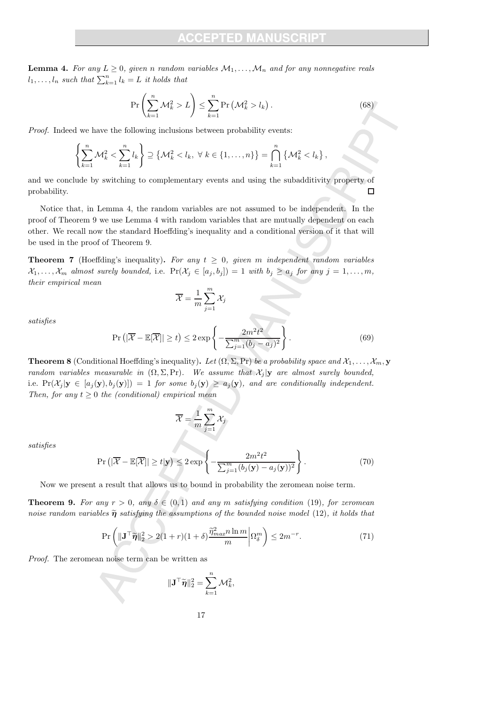**Lemma 4.** For any  $L \geq 0$ , given n random variables  $\mathcal{M}_1, \ldots, \mathcal{M}_n$  and for any nonnegative reals  $l_1, \ldots, l_n$  such that  $\sum_{k=1}^n l_k = L$  it holds that

$$
\Pr\left(\sum_{k=1}^{n} \mathcal{M}_k^2 > L\right) \le \sum_{k=1}^{n} \Pr\left(\mathcal{M}_k^2 > l_k\right). \tag{68}
$$

Proof. Indeed we have the following inclusions between probability events:

$$
\left\{\sum_{k=1}^n \mathcal{M}_k^2 < \sum_{k=1}^n l_k\right\} \supseteq \left\{\mathcal{M}_k^2 < l_k, \ \forall \ k \in \{1,\ldots,n\}\right\} = \bigcap_{k=1}^n \left\{\mathcal{M}_k^2 < l_k\right\},\
$$

and we conclude by switching to complementary events and using the subadditivity property of probability.  $\Box$ 

Notice that, in Lemma 4, the random variables are not assumed to be independent. In the proof of Theorem 9 we use Lemma 4 with random variables that are mutually dependent on each other. We recall now the standard Hoeffding's inequality and a conditional version of it that will be used in the proof of Theorem 9.

**Theorem 7** (Hoeffding's inequality). For any  $t \geq 0$ , given m independent random variables  $\mathcal{X}_1, \ldots, \mathcal{X}_m$  almost surely bounded, i.e.  $\Pr(\mathcal{X}_j \in [a_j, b_j]) = 1$  with  $b_j \ge a_j$  for any  $j = 1, \ldots, m$ , their empirical mean

$$
\overline{\mathcal{X}} = \frac{1}{m} \sum_{j=1}^{m} \mathcal{X}_j
$$

satisfies

$$
\Pr\left(|\overline{\mathcal{X}} - \mathbb{E}[\overline{\mathcal{X}}]| \ge t\right) \le 2 \exp\left\{-\frac{2m^2t^2}{\sum_{j=1}^m (b_j - a_j)^2}\right\}.
$$
\n(69)

**Theorem 8** (Conditional Hoeffding's inequality). Let  $(\Omega, \Sigma, Pr)$  be a probability space and  $\mathcal{X}_1, \ldots, \mathcal{X}_m$ , y random variables measurable in  $(\Omega, \Sigma, Pr)$ . We assume that  $\mathcal{X}_i | y$  are almost surely bounded, i.e.  $Pr(\mathcal{X}_i | y \in [a_i(y), b_i(y)]) = 1$  for some  $b_i(y) \ge a_i(y)$ , and are conditionally independent. Then, for any  $t \geq 0$  the (conditional) empirical mean

$$
\overline{\mathcal{X}} = \frac{1}{m} \sum_{j=1}^{m} \mathcal{X}_j
$$

satisfies

$$
\Pr\left(|\overline{\mathcal{X}} - \mathbb{E}[\overline{\mathcal{X}}]| \ge t | \mathbf{y}\right) \le 2 \exp\left\{-\frac{2m^2 t^2}{\sum_{j=1}^m (b_j(\mathbf{y}) - a_j(\mathbf{y}))^2}\right\}.
$$
\n(70)

Now we present a result that allows us to bound in probability the zeromean noise term.

**Theorem 9.** For any  $r > 0$ , any  $\delta \in (0,1)$  and any m satisfying condition (19), for zeromean noise random variables  $\tilde{\eta}$  satisfying the assumptions of the bounded noise model (12), it holds that

$$
\Pr\left(\|\mathbf{J}^{\top}\widetilde{\boldsymbol{\eta}}\|_{2}^{2} > 2(1+r)(1+\delta)\frac{\widetilde{\eta}_{max}^{2}n\ln m}{m}\bigg|\Omega_{\delta}^{m}\right) \leq 2m^{-r}.\tag{71}
$$

Proof. The zeromean noise term can be written as

 $\|\mathbf{J}^\top \widetilde{\boldsymbol{\eta}}\|^2_2 = \sum\limits_{i=1}^n$  $k=1$  $\mathcal{M}_k^2$ ,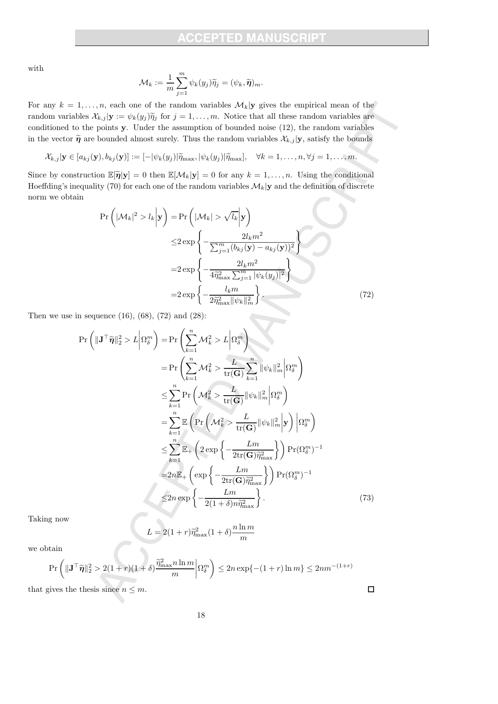with

$$
\mathcal{M}_k := \frac{1}{m} \sum_{j=1}^m \psi_k(y_j) \widetilde{\eta}_j = (\psi_k, \widetilde{\boldsymbol{\eta}})_m.
$$

For any  $k = 1, \ldots, n$ , each one of the random variables  $\mathcal{M}_k$  y gives the empirical mean of the random variables  $\mathcal{X}_{k,j} | \mathbf{y} := \psi_k(y_j) \tilde{\eta}_j$  for  $j = 1, \ldots, m$ . Notice that all these random variables are conditioned to the points y. Under the assumption of bounded noise (12), the random variables in the vector  $\tilde{\eta}$  are bounded almost surely. Thus the random variables  $\mathcal{X}_{k,j} | \mathbf{y}$ , satisfy the bounds

 $\mathcal{X}_{k,j} | \mathbf{y} \in [a_{kj}(\mathbf{y}), b_{kj}(\mathbf{y})] := [-|\psi_k(y_j)| \widetilde{\eta}_{\max}, |\psi_k(y_j)| \widetilde{\eta}_{\max}], \quad \forall k = 1, \ldots, n, \forall j = 1, \ldots, m.$ 

Since by construction  $\mathbb{E}[\tilde{\boldsymbol{\eta}}|\mathbf{y}] = 0$  then  $\mathbb{E}[\mathcal{M}_k|\mathbf{y}] = 0$  for any  $k = 1, ..., n$ . Using the conditional Hoeffding's inequality (70) for each one of the random variables  $\mathcal{M}_k$  y and the definition of discrete norm we obtain

$$
\Pr\left(|\mathcal{M}_k|^2 > l_k \middle| \mathbf{y}\right) = \Pr\left(|\mathcal{M}_k| > \sqrt{l_k} \middle| \mathbf{y}\right)
$$
  
\n
$$
\leq 2 \exp\left\{-\frac{2l_k m^2}{\sum_{j=1}^m (b_{kj}(\mathbf{y}) - a_{kj}(\mathbf{y}))^2}\right\}
$$
  
\n
$$
= 2 \exp\left\{-\frac{2l_k m^2}{4\hat{\eta}_{\text{max}}^2 \sum_{j=1}^m |\psi_k(y_j)|^2}\right\}
$$
  
\n
$$
= 2 \exp\left\{-\frac{l_k m}{2\hat{\eta}_{\text{max}}^2 ||\psi_k||_m^2}\right\}.
$$
 (72)

Then we use in sequence  $(16)$ ,  $(68)$ ,  $(72)$  and  $(28)$ :

$$
\Pr\left(\|\mathbf{J}^{\top}\tilde{\boldsymbol{\eta}}\|_{2}^{2} > L\left|\Omega_{\delta}^{m}\right.\right) = \Pr\left(\sum_{k=1}^{n} \mathcal{M}_{k}^{2} > L\left|\Omega_{\delta}^{m}\right.\right)
$$
\n
$$
= \Pr\left(\sum_{k=1}^{n} \mathcal{M}_{k}^{2} > \frac{L}{\text{tr}(\mathbf{G})} \sum_{k=1}^{n} \|\psi_{k}\|_{m}^{2}\left|\Omega_{\delta}^{m}\right.\right)
$$
\n
$$
\leq \sum_{k=1}^{n} \Pr\left(\mathcal{M}_{k}^{2} > \frac{L}{\text{tr}(\mathbf{G})} \|\psi_{k}\|_{m}^{2}\left|\Omega_{\delta}^{m}\right.\right)
$$
\n
$$
= \sum_{k=1}^{n} \mathbb{E}\left(\Pr\left(\mathcal{M}_{k}^{2} > \frac{L}{\text{tr}(\mathbf{G})} \|\psi_{k}\|_{m}^{2}\right) \mathbf{y}\right) \left|\Omega_{\delta}^{m}\right.\right)
$$
\n
$$
\leq \sum_{k=1}^{n} \mathbb{E}_{+}\left(2 \exp\left\{-\frac{Lm}{2\text{tr}(\mathbf{G})\tilde{\eta}_{\max}^{2}}\right\}\right) \Pr(\Omega_{\delta}^{m})^{-1}
$$
\n
$$
= 2n \mathbb{E}_{+}\left(\exp\left\{-\frac{Lm}{2\text{tr}(\mathbf{G})\tilde{\eta}_{\max}^{2}}\right\}\right) \Pr(\Omega_{\delta}^{m})^{-1}
$$
\n
$$
\leq 2n \exp\left\{-\frac{Lm}{2(1+\delta)n\tilde{\eta}_{\max}^{2}}\right\}.
$$
\n(73)

Taking now

$$
L = 2(1+r)\tilde{\eta}_{\max}^2(1+\delta)\frac{n\ln m}{m}
$$

we obtain

$$
\Pr\left(\|\mathbf{J}^\top \widetilde{\boldsymbol{\eta}}\|^2_2 > 2(1+r)(1+\delta)\frac{\widetilde{\eta}_{\max}^2 n \ln m}{m}\bigg|\Omega_\delta^m\right) \le 2n \exp\{-(1+r)\ln m\} \le 2nm^{-(1+r)}
$$

that gives the thesis since  $n \leq m$ .

 $\Box$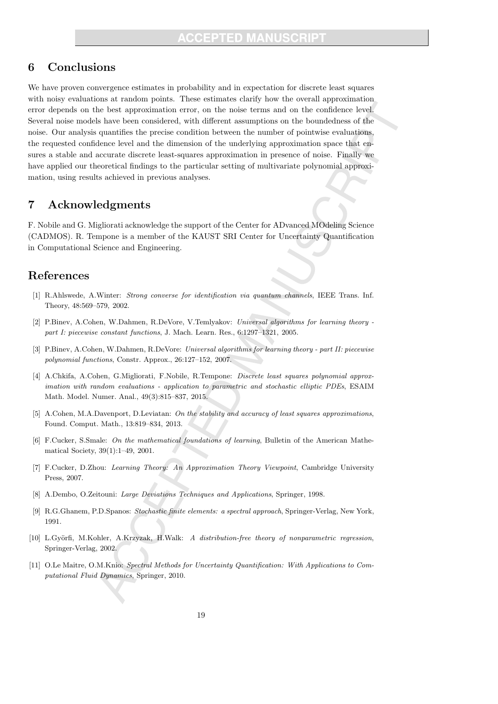### 6 Conclusions

We have proven convergence estimates in probability and in expectation for discrete least squares with noisy evaluations at random points. These estimates clarify how the overall approximation error depends on the best approximation error, on the noise terms and on the confidence level. Several noise models have been considered, with different assumptions on the boundedness of the noise. Our analysis quantifies the precise condition between the number of pointwise evaluations, the requested confidence level and the dimension of the underlying approximation space that ensures a stable and accurate discrete least-squares approximation in presence of noise. Finally we have applied our theoretical findings to the particular setting of multivariate polynomial approximation, using results achieved in previous analyses.

### 7 Acknowledgments

F. Nobile and G. Migliorati acknowledge the support of the Center for ADvanced MOdeling Science (CADMOS). R. Tempone is a member of the KAUST SRI Center for Uncertainty Quantification in Computational Science and Engineering.

### References

- [1] R.Ahlswede, A.Winter: Strong converse for identification via quantum channels, IEEE Trans. Inf. Theory, 48:569–579, 2002.
- [2] P.Binev, A.Cohen, W.Dahmen, R.DeVore, V.Temlyakov: Universal algorithms for learning theory part I: piecewise constant functions, J. Mach. Learn. Res., 6:1297–1321, 2005.
- [3] P.Binev, A.Cohen, W.Dahmen, R.DeVore: Universal algorithms for learning theory part II: piecewise polynomial functions, Constr. Approx., 26:127–152, 2007.
- [4] A.Chkifa, A.Cohen, G.Migliorati, F.Nobile, R.Tempone: Discrete least squares polynomial approximation with random evaluations - application to parametric and stochastic elliptic PDEs, ESAIM Math. Model. Numer. Anal., 49(3):815–837, 2015.
- [5] A.Cohen, M.A.Davenport, D.Leviatan: On the stability and accuracy of least squares approximations, Found. Comput. Math., 13:819–834, 2013.
- [6] F.Cucker, S.Smale: On the mathematical foundations of learning, Bulletin of the American Mathematical Society, 39(1):1–49, 2001.
- [7] F.Cucker, D.Zhou: Learning Theory: An Approximation Theory Viewpoint, Cambridge University Press, 2007.
- [8] A.Dembo, O.Zeitouni: Large Deviations Techniques and Applications, Springer, 1998.
- [9] R.G.Ghanem, P.D.Spanos: Stochastic finite elements: a spectral approach, Springer-Verlag, New York, 1991.
- [10] L.Györfi, M.Kohler, A.Krzyzak, H.Walk: A distribution-free theory of nonparametric regression, Springer-Verlag, 2002.
- [11] O.Le Maitre, O.M.Knio: Spectral Methods for Uncertainty Quantification: With Applications to Computational Fluid Dynamics, Springer, 2010.